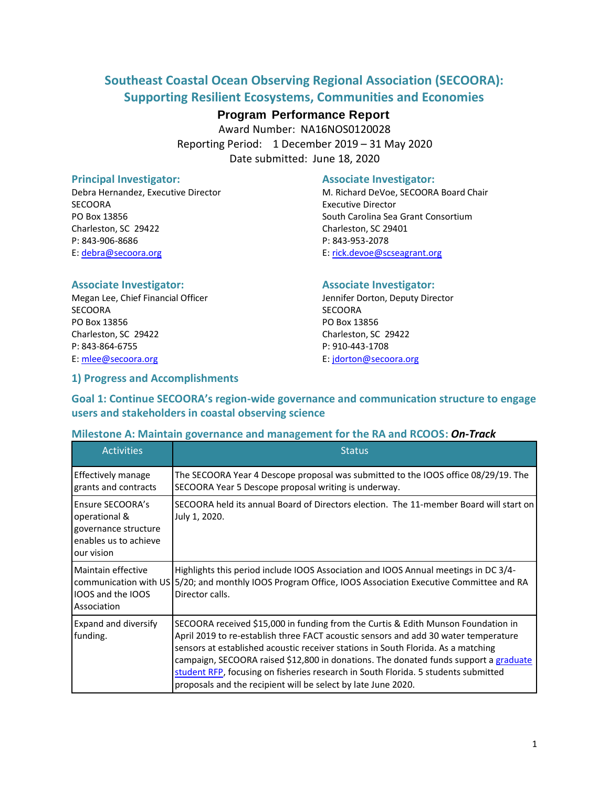## **Southeast Coastal Ocean Observing Regional Association (SECOORA): Supporting Resilient Ecosystems, Communities and Economies**

## **Program Performance Report**

Award Number: NA16NOS0120028 Reporting Period: 1 December 2019 – 31 May 2020 Date submitted: June 18, 2020

SECOORA Executive Director PO Box 13856 South Carolina Sea Grant Consortium Charleston, SC 29422 Charleston, SC 29401 P: 843-906-8686 P: 843-953-2078 E: [debra@secoora.org](mailto:debra@secoora.org) E: [rick.devoe@scseagrant.org](mailto:rick.devoe@scseagrant.org)

#### **Principal Investigator:** Associate Investigator:

Debra Hernandez, Executive Director Manus (M. Richard DeVoe, SECOORA Board Chair

Megan Lee, Chief Financial Officer The Megan Lee, Deputy Director SECOORA SECOORA SECOORA DE SECOORA DE SECOORA DE SECOORA DE SECOORA DE SECOORA DE SECOORA DE SECOORA DE SECOORA DE SECOORA DE SECOORA DE SECOORA DE SECOORA DE SECOORA DE SECOORA DE SECOORA DE SECOORA DE SECOORA DE SECOORA PO Box 13856 PO Box 13856 Charleston, SC 29422 Charleston, SC 29422 P: 843-864-6755 P: 910-443-1708 E[: mlee@secoora.org](mailto:mlee@secoora.org) E: [jdorton@secoora.org](mailto:jdorton@secoora.org)

#### **Associate Investigator: Associate Investigator:**

## **1) Progress and Accomplishments**

**Goal 1: Continue SECOORA's region-wide governance and communication structure to engage users and stakeholders in coastal observing science**

#### **Milestone A: Maintain governance and management for the RA and RCOOS:** *On-Track*

| <b>Activities</b>                                                                                       | <b>Status</b>                                                                                                                                                                                                                                                                                                                                                                                                                                                                                                |
|---------------------------------------------------------------------------------------------------------|--------------------------------------------------------------------------------------------------------------------------------------------------------------------------------------------------------------------------------------------------------------------------------------------------------------------------------------------------------------------------------------------------------------------------------------------------------------------------------------------------------------|
| Effectively manage<br>grants and contracts                                                              | The SECOORA Year 4 Descope proposal was submitted to the IOOS office 08/29/19. The<br>SECOORA Year 5 Descope proposal writing is underway.                                                                                                                                                                                                                                                                                                                                                                   |
| <b>Ensure SECOORA's</b><br>operational &<br>governance structure<br>enables us to achieve<br>our vision | SECOORA held its annual Board of Directors election. The 11-member Board will start on<br>July 1, 2020.                                                                                                                                                                                                                                                                                                                                                                                                      |
| Maintain effective<br><b>IOOS and the IOOS</b><br>Association                                           | Highlights this period include IOOS Association and IOOS Annual meetings in DC 3/4-<br>communication with US 5/20; and monthly IOOS Program Office, IOOS Association Executive Committee and RA<br>Director calls.                                                                                                                                                                                                                                                                                           |
| <b>Expand and diversify</b><br>funding.                                                                 | SECOORA received \$15,000 in funding from the Curtis & Edith Munson Foundation in<br>April 2019 to re-establish three FACT acoustic sensors and add 30 water temperature<br>sensors at established acoustic receiver stations in South Florida. As a matching<br>campaign, SECOORA raised \$12,800 in donations. The donated funds support a graduate<br>student RFP, focusing on fisheries research in South Florida. 5 students submitted<br>proposals and the recipient will be select by late June 2020. |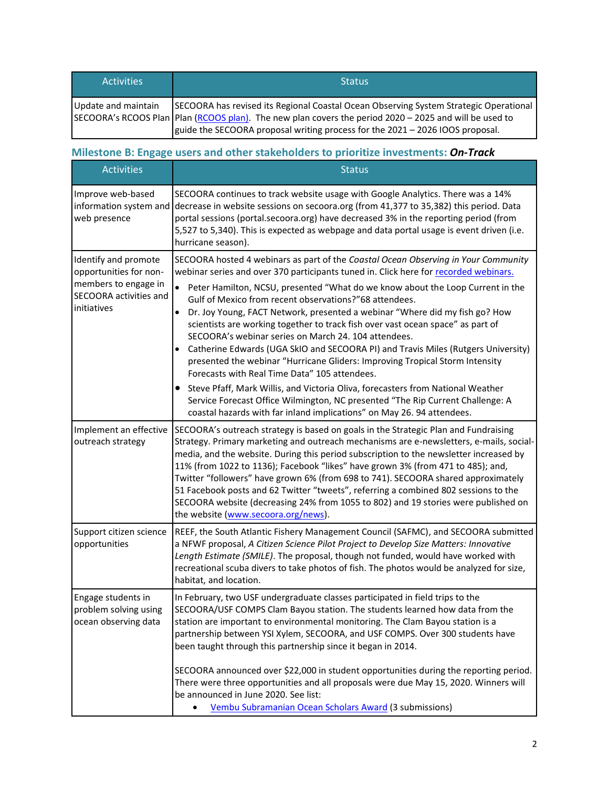| <b>Activities</b>   | <b>Status</b>                                                                                            |
|---------------------|----------------------------------------------------------------------------------------------------------|
| Update and maintain | SECOORA has revised its Regional Coastal Ocean Observing System Strategic Operational                    |
|                     | SECOORA's RCOOS Plan   Plan (RCOOS plan). The new plan covers the period 2020 - 2025 and will be used to |
|                     | guide the SECOORA proposal writing process for the 2021 - 2026 IOOS proposal.                            |

## **Milestone B: Engage users and other stakeholders to prioritize investments:** *On-Track*

| <b>Activities</b>                                                                                               | <b>Status</b>                                                                                                                                                                                                                                                                                                                                                                                                                                                                                                                                                                                                                                                                                                                                                                                                                                                                                                                                                                                                                                   |  |  |  |  |
|-----------------------------------------------------------------------------------------------------------------|-------------------------------------------------------------------------------------------------------------------------------------------------------------------------------------------------------------------------------------------------------------------------------------------------------------------------------------------------------------------------------------------------------------------------------------------------------------------------------------------------------------------------------------------------------------------------------------------------------------------------------------------------------------------------------------------------------------------------------------------------------------------------------------------------------------------------------------------------------------------------------------------------------------------------------------------------------------------------------------------------------------------------------------------------|--|--|--|--|
| Improve web-based<br>information system and<br>web presence                                                     | SECOORA continues to track website usage with Google Analytics. There was a 14%<br>decrease in website sessions on secoora.org (from 41,377 to 35,382) this period. Data<br>portal sessions (portal.secoora.org) have decreased 3% in the reporting period (from<br>5,527 to 5,340). This is expected as webpage and data portal usage is event driven (i.e.<br>hurricane season).                                                                                                                                                                                                                                                                                                                                                                                                                                                                                                                                                                                                                                                              |  |  |  |  |
| Identify and promote<br>opportunities for non-<br>members to engage in<br>SECOORA activities and<br>initiatives | SECOORA hosted 4 webinars as part of the Coastal Ocean Observing in Your Community<br>webinar series and over 370 participants tuned in. Click here for recorded webinars.<br>Peter Hamilton, NCSU, presented "What do we know about the Loop Current in the<br>$\bullet$<br>Gulf of Mexico from recent observations?"68 attendees.<br>Dr. Joy Young, FACT Network, presented a webinar "Where did my fish go? How<br>scientists are working together to track fish over vast ocean space" as part of<br>SECOORA's webinar series on March 24, 104 attendees.<br>Catherine Edwards (UGA SkIO and SECOORA PI) and Travis Miles (Rutgers University)<br>presented the webinar "Hurricane Gliders: Improving Tropical Storm Intensity<br>Forecasts with Real Time Data" 105 attendees.<br>Steve Pfaff, Mark Willis, and Victoria Oliva, forecasters from National Weather<br>$\bullet$<br>Service Forecast Office Wilmington, NC presented "The Rip Current Challenge: A<br>coastal hazards with far inland implications" on May 26. 94 attendees. |  |  |  |  |
| Implement an effective<br>outreach strategy                                                                     | SECOORA's outreach strategy is based on goals in the Strategic Plan and Fundraising<br>Strategy. Primary marketing and outreach mechanisms are e-newsletters, e-mails, social-<br>media, and the website. During this period subscription to the newsletter increased by<br>11% (from 1022 to 1136); Facebook "likes" have grown 3% (from 471 to 485); and,<br>Twitter "followers" have grown 6% (from 698 to 741). SECOORA shared approximately<br>51 Facebook posts and 62 Twitter "tweets", referring a combined 802 sessions to the<br>SECOORA website (decreasing 24% from 1055 to 802) and 19 stories were published on<br>the website (www.secoora.org/news).                                                                                                                                                                                                                                                                                                                                                                            |  |  |  |  |
| Support citizen science<br>opportunities                                                                        | REEF, the South Atlantic Fishery Management Council (SAFMC), and SECOORA submitted<br>a NFWF proposal, A Citizen Science Pilot Project to Develop Size Matters: Innovative<br>Length Estimate (SMILE). The proposal, though not funded, would have worked with<br>recreational scuba divers to take photos of fish. The photos would be analyzed for size,<br>habitat, and location.                                                                                                                                                                                                                                                                                                                                                                                                                                                                                                                                                                                                                                                            |  |  |  |  |
| Engage students in<br>problem solving using<br>ocean observing data                                             | In February, two USF undergraduate classes participated in field trips to the<br>SECOORA/USF COMPS Clam Bayou station. The students learned how data from the<br>station are important to environmental monitoring. The Clam Bayou station is a<br>partnership between YSI Xylem, SECOORA, and USF COMPS. Over 300 students have<br>been taught through this partnership since it began in 2014.<br>SECOORA announced over \$22,000 in student opportunities during the reporting period.<br>There were three opportunities and all proposals were due May 15, 2020. Winners will<br>be announced in June 2020. See list:<br>Vembu Subramanian Ocean Scholars Award (3 submissions)                                                                                                                                                                                                                                                                                                                                                             |  |  |  |  |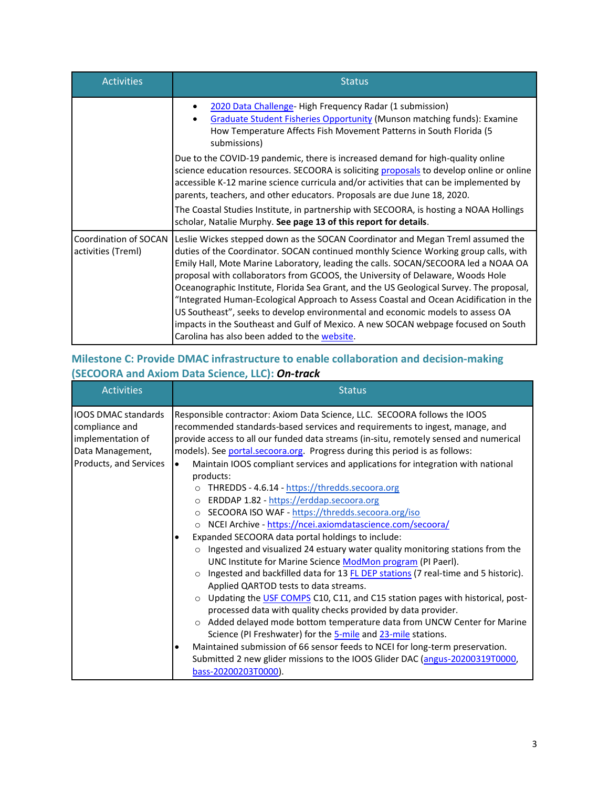| <b>Activities</b>                           | <b>Status</b>                                                                                                                                                                                                                                                                                                                                                                                                                                                                                                                                                                                                                                                                                                                                               |  |  |  |  |  |  |
|---------------------------------------------|-------------------------------------------------------------------------------------------------------------------------------------------------------------------------------------------------------------------------------------------------------------------------------------------------------------------------------------------------------------------------------------------------------------------------------------------------------------------------------------------------------------------------------------------------------------------------------------------------------------------------------------------------------------------------------------------------------------------------------------------------------------|--|--|--|--|--|--|
|                                             | 2020 Data Challenge-High Frequency Radar (1 submission)<br>Graduate Student Fisheries Opportunity (Munson matching funds): Examine<br>How Temperature Affects Fish Movement Patterns in South Florida (5<br>submissions)                                                                                                                                                                                                                                                                                                                                                                                                                                                                                                                                    |  |  |  |  |  |  |
|                                             | Due to the COVID-19 pandemic, there is increased demand for high-quality online<br>science education resources. SECOORA is soliciting proposals to develop online or online<br>accessible K-12 marine science curricula and/or activities that can be implemented by<br>parents, teachers, and other educators. Proposals are due June 18, 2020.                                                                                                                                                                                                                                                                                                                                                                                                            |  |  |  |  |  |  |
|                                             | The Coastal Studies Institute, in partnership with SECOORA, is hosting a NOAA Hollings<br>scholar, Natalie Murphy. See page 13 of this report for details.                                                                                                                                                                                                                                                                                                                                                                                                                                                                                                                                                                                                  |  |  |  |  |  |  |
| Coordination of SOCAN<br>activities (Treml) | Leslie Wickes stepped down as the SOCAN Coordinator and Megan Treml assumed the<br>duties of the Coordinator. SOCAN continued monthly Science Working group calls, with<br>Emily Hall, Mote Marine Laboratory, leading the calls. SOCAN/SECOORA led a NOAA OA<br>proposal with collaborators from GCOOS, the University of Delaware, Woods Hole<br>Oceanographic Institute, Florida Sea Grant, and the US Geological Survey. The proposal,<br>"Integrated Human-Ecological Approach to Assess Coastal and Ocean Acidification in the<br>US Southeast", seeks to develop environmental and economic models to assess OA<br>impacts in the Southeast and Gulf of Mexico. A new SOCAN webpage focused on South<br>Carolina has also been added to the website. |  |  |  |  |  |  |

## **Milestone C: Provide DMAC infrastructure to enable collaboration and decision-making (SECOORA and Axiom Data Science, LLC):** *On-track*

| <b>Activities</b>                                                                                               | <b>Status</b>                                                                                                                                                                                                                                                                                                                                                                                                                                                                                                                                                                                                                                                                                                                                                                                                                                              |  |  |  |  |  |
|-----------------------------------------------------------------------------------------------------------------|------------------------------------------------------------------------------------------------------------------------------------------------------------------------------------------------------------------------------------------------------------------------------------------------------------------------------------------------------------------------------------------------------------------------------------------------------------------------------------------------------------------------------------------------------------------------------------------------------------------------------------------------------------------------------------------------------------------------------------------------------------------------------------------------------------------------------------------------------------|--|--|--|--|--|
| <b>IOOS DMAC standards</b><br>compliance and<br>implementation of<br>Data Management,<br>Products, and Services | Responsible contractor: Axiom Data Science, LLC. SECOORA follows the IOOS<br>recommended standards-based services and requirements to ingest, manage, and<br>provide access to all our funded data streams (in-situ, remotely sensed and numerical<br>models). See portal.secoora.org. Progress during this period is as follows:<br>Maintain IOOS compliant services and applications for integration with national<br>$\bullet$<br>products:<br>THREDDS - 4.6.14 - https://thredds.secoora.org<br>$\circ$<br>ERDDAP 1.82 - https://erddap.secoora.org<br>$\circ$<br>o SECOORA ISO WAF - https://thredds.secoora.org/iso<br>NCEI Archive - https://ncei.axiomdatascience.com/secoora/<br>$\circ$                                                                                                                                                          |  |  |  |  |  |
|                                                                                                                 | Expanded SECOORA data portal holdings to include:<br>Ingested and visualized 24 estuary water quality monitoring stations from the<br>$\circ$<br>UNC Institute for Marine Science ModMon program (PI Paerl).<br>Ingested and backfilled data for 13 FL DEP stations (7 real-time and 5 historic).<br>$\Omega$<br>Applied QARTOD tests to data streams.<br>Updating the USF COMPS C10, C11, and C15 station pages with historical, post-<br>$\circ$<br>processed data with quality checks provided by data provider.<br>Added delayed mode bottom temperature data from UNCW Center for Marine<br>Science (PI Freshwater) for the 5-mile and 23-mile stations.<br>Maintained submission of 66 sensor feeds to NCEI for long-term preservation.<br>٠<br>Submitted 2 new glider missions to the IOOS Glider DAC (angus-20200319T0000,<br>bass-20200203T0000). |  |  |  |  |  |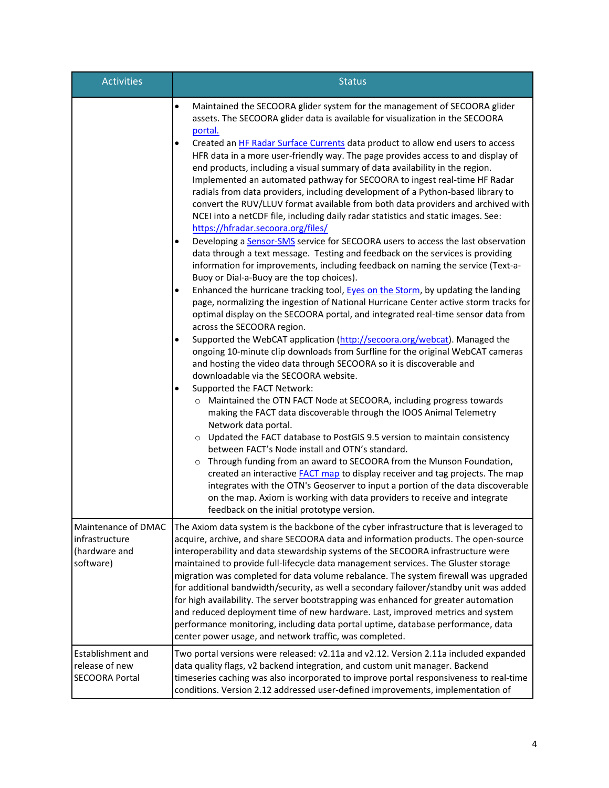| <b>Activities</b>                                                   | <b>Status</b>                                                                                                                                                                                                                                                                                                                                                                                                                                                                                                                                                                                                                                                                                                                                                                                                                                                                                                                                                                                                                                                                                                                                                                                                                                                                                                                                                                                                                                                                                                                                                                                                                                                                                                                                                                                                                                                                                                                                                                                                                                                                                                                                                                                                                                                                                                                      |  |  |  |  |  |
|---------------------------------------------------------------------|------------------------------------------------------------------------------------------------------------------------------------------------------------------------------------------------------------------------------------------------------------------------------------------------------------------------------------------------------------------------------------------------------------------------------------------------------------------------------------------------------------------------------------------------------------------------------------------------------------------------------------------------------------------------------------------------------------------------------------------------------------------------------------------------------------------------------------------------------------------------------------------------------------------------------------------------------------------------------------------------------------------------------------------------------------------------------------------------------------------------------------------------------------------------------------------------------------------------------------------------------------------------------------------------------------------------------------------------------------------------------------------------------------------------------------------------------------------------------------------------------------------------------------------------------------------------------------------------------------------------------------------------------------------------------------------------------------------------------------------------------------------------------------------------------------------------------------------------------------------------------------------------------------------------------------------------------------------------------------------------------------------------------------------------------------------------------------------------------------------------------------------------------------------------------------------------------------------------------------------------------------------------------------------------------------------------------------|--|--|--|--|--|
|                                                                     | Maintained the SECOORA glider system for the management of SECOORA glider<br>$\bullet$<br>assets. The SECOORA glider data is available for visualization in the SECOORA<br>portal.<br>Created an HF Radar Surface Currents data product to allow end users to access<br>$\bullet$<br>HFR data in a more user-friendly way. The page provides access to and display of<br>end products, including a visual summary of data availability in the region.<br>Implemented an automated pathway for SECOORA to ingest real-time HF Radar<br>radials from data providers, including development of a Python-based library to<br>convert the RUV/LLUV format available from both data providers and archived with<br>NCEI into a netCDF file, including daily radar statistics and static images. See:<br>https://hfradar.secoora.org/files/<br>Developing a Sensor-SMS service for SECOORA users to access the last observation<br>data through a text message. Testing and feedback on the services is providing<br>information for improvements, including feedback on naming the service (Text-a-<br>Buoy or Dial-a-Buoy are the top choices).<br>Enhanced the hurricane tracking tool, Eyes on the Storm, by updating the landing<br>page, normalizing the ingestion of National Hurricane Center active storm tracks for<br>optimal display on the SECOORA portal, and integrated real-time sensor data from<br>across the SECOORA region.<br>Supported the WebCAT application (http://secoora.org/webcat). Managed the<br>ongoing 10-minute clip downloads from Surfline for the original WebCAT cameras<br>and hosting the video data through SECOORA so it is discoverable and<br>downloadable via the SECOORA website.<br>Supported the FACT Network:<br>$\bullet$<br>O Maintained the OTN FACT Node at SECOORA, including progress towards<br>making the FACT data discoverable through the IOOS Animal Telemetry<br>Network data portal.<br>o Updated the FACT database to PostGIS 9.5 version to maintain consistency<br>between FACT's Node install and OTN's standard.<br>o Through funding from an award to SECOORA from the Munson Foundation,<br>created an interactive <b>FACT</b> map to display receiver and tag projects. The map<br>integrates with the OTN's Geoserver to input a portion of the data discoverable |  |  |  |  |  |
|                                                                     | on the map. Axiom is working with data providers to receive and integrate<br>feedback on the initial prototype version.                                                                                                                                                                                                                                                                                                                                                                                                                                                                                                                                                                                                                                                                                                                                                                                                                                                                                                                                                                                                                                                                                                                                                                                                                                                                                                                                                                                                                                                                                                                                                                                                                                                                                                                                                                                                                                                                                                                                                                                                                                                                                                                                                                                                            |  |  |  |  |  |
| Maintenance of DMAC<br>infrastructure<br>(hardware and<br>software) | The Axiom data system is the backbone of the cyber infrastructure that is leveraged to<br>acquire, archive, and share SECOORA data and information products. The open-source<br>interoperability and data stewardship systems of the SECOORA infrastructure were<br>maintained to provide full-lifecycle data management services. The Gluster storage<br>migration was completed for data volume rebalance. The system firewall was upgraded<br>for additional bandwidth/security, as well a secondary failover/standby unit was added<br>for high availability. The server bootstrapping was enhanced for greater automation<br>and reduced deployment time of new hardware. Last, improved metrics and system<br>performance monitoring, including data portal uptime, database performance, data<br>center power usage, and network traffic, was completed.                                                                                                                                                                                                                                                                                                                                                                                                                                                                                                                                                                                                                                                                                                                                                                                                                                                                                                                                                                                                                                                                                                                                                                                                                                                                                                                                                                                                                                                                    |  |  |  |  |  |
| <b>Establishment and</b><br>release of new<br><b>SECOORA Portal</b> | Two portal versions were released: v2.11a and v2.12. Version 2.11a included expanded<br>data quality flags, v2 backend integration, and custom unit manager. Backend<br>timeseries caching was also incorporated to improve portal responsiveness to real-time<br>conditions. Version 2.12 addressed user-defined improvements, implementation of                                                                                                                                                                                                                                                                                                                                                                                                                                                                                                                                                                                                                                                                                                                                                                                                                                                                                                                                                                                                                                                                                                                                                                                                                                                                                                                                                                                                                                                                                                                                                                                                                                                                                                                                                                                                                                                                                                                                                                                  |  |  |  |  |  |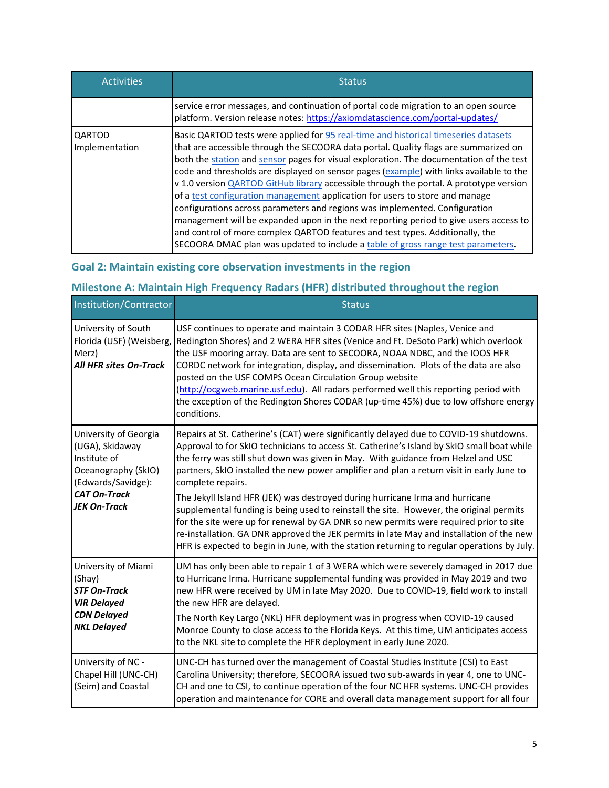| <b>Activities</b>               | <b>Status</b>                                                                                                                                                                                                                                                                                                                                                                                                                                                                                                                                                                                                                                                                                                                                                                                                                                                                            |  |  |  |  |  |
|---------------------------------|------------------------------------------------------------------------------------------------------------------------------------------------------------------------------------------------------------------------------------------------------------------------------------------------------------------------------------------------------------------------------------------------------------------------------------------------------------------------------------------------------------------------------------------------------------------------------------------------------------------------------------------------------------------------------------------------------------------------------------------------------------------------------------------------------------------------------------------------------------------------------------------|--|--|--|--|--|
|                                 | service error messages, and continuation of portal code migration to an open source<br>platform. Version release notes: https://axiomdatascience.com/portal-updates/                                                                                                                                                                                                                                                                                                                                                                                                                                                                                                                                                                                                                                                                                                                     |  |  |  |  |  |
| <b>QARTOD</b><br>Implementation | Basic QARTOD tests were applied for 95 real-time and historical timeseries datasets<br>that are accessible through the SECOORA data portal. Quality flags are summarized on<br>both the station and sensor pages for visual exploration. The documentation of the test<br>code and thresholds are displayed on sensor pages (example) with links available to the<br>v 1.0 version QARTOD GitHub library accessible through the portal. A prototype version<br>of a test configuration management application for users to store and manage<br>configurations across parameters and regions was implemented. Configuration<br>management will be expanded upon in the next reporting period to give users access to<br>and control of more complex QARTOD features and test types. Additionally, the<br>SECOORA DMAC plan was updated to include a table of gross range test parameters. |  |  |  |  |  |

## **Goal 2: Maintain existing core observation investments in the region**

# **Milestone A: Maintain High Frequency Radars (HFR) distributed throughout the region**

| Institution/Contractor                                                                                                                              | <b>Status</b>                                                                                                                                                                                                                                                                                                                                                                                                                                                                                                                                                                                                                                                                                                                                                                                                                                               |
|-----------------------------------------------------------------------------------------------------------------------------------------------------|-------------------------------------------------------------------------------------------------------------------------------------------------------------------------------------------------------------------------------------------------------------------------------------------------------------------------------------------------------------------------------------------------------------------------------------------------------------------------------------------------------------------------------------------------------------------------------------------------------------------------------------------------------------------------------------------------------------------------------------------------------------------------------------------------------------------------------------------------------------|
| University of South<br>Florida (USF) (Weisberg,<br>Merz)<br>All HFR sites On-Track                                                                  | USF continues to operate and maintain 3 CODAR HFR sites (Naples, Venice and<br>Redington Shores) and 2 WERA HFR sites (Venice and Ft. DeSoto Park) which overlook<br>the USF mooring array. Data are sent to SECOORA, NOAA NDBC, and the IOOS HFR<br>CORDC network for integration, display, and dissemination. Plots of the data are also<br>posted on the USF COMPS Ocean Circulation Group website<br>(http://ocgweb.marine.usf.edu). All radars performed well this reporting period with<br>the exception of the Redington Shores CODAR (up-time 45%) due to low offshore energy<br>conditions.                                                                                                                                                                                                                                                        |
| University of Georgia<br>(UGA), Skidaway<br>Institute of<br>Oceanography (SkIO)<br>(Edwards/Savidge):<br><b>CAT On-Track</b><br><b>JEK On-Track</b> | Repairs at St. Catherine's (CAT) were significantly delayed due to COVID-19 shutdowns.<br>Approval to for SkIO technicians to access St. Catherine's Island by SkIO small boat while<br>the ferry was still shut down was given in May. With guidance from Helzel and USC<br>partners, SkIO installed the new power amplifier and plan a return visit in early June to<br>complete repairs.<br>The Jekyll Island HFR (JEK) was destroyed during hurricane Irma and hurricane<br>supplemental funding is being used to reinstall the site. However, the original permits<br>for the site were up for renewal by GA DNR so new permits were required prior to site<br>re-installation. GA DNR approved the JEK permits in late May and installation of the new<br>HFR is expected to begin in June, with the station returning to regular operations by July. |
| University of Miami<br>(Shay)<br><b>STF On-Track</b><br><b>VIR Delayed</b><br><b>CDN Delayed</b><br><b>NKL Delayed</b>                              | UM has only been able to repair 1 of 3 WERA which were severely damaged in 2017 due<br>to Hurricane Irma. Hurricane supplemental funding was provided in May 2019 and two<br>new HFR were received by UM in late May 2020. Due to COVID-19, field work to install<br>the new HFR are delayed.<br>The North Key Largo (NKL) HFR deployment was in progress when COVID-19 caused<br>Monroe County to close access to the Florida Keys. At this time, UM anticipates access<br>to the NKL site to complete the HFR deployment in early June 2020.                                                                                                                                                                                                                                                                                                              |
| University of NC -<br>Chapel Hill (UNC-CH)<br>(Seim) and Coastal                                                                                    | UNC-CH has turned over the management of Coastal Studies Institute (CSI) to East<br>Carolina University; therefore, SECOORA issued two sub-awards in year 4, one to UNC-<br>CH and one to CSI, to continue operation of the four NC HFR systems. UNC-CH provides<br>operation and maintenance for CORE and overall data management support for all four                                                                                                                                                                                                                                                                                                                                                                                                                                                                                                     |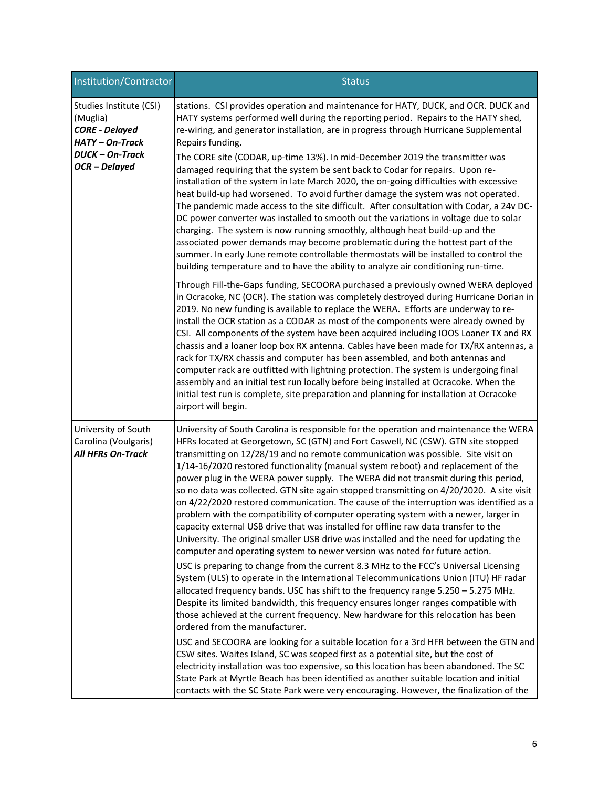| Institution/Contractor                                                               | <b>Status</b>                                                                                                                                                                                                                                                                                                                                                                                                                                                                                                                                                                                                                                                                                                                                                                                                                                                                                                                                                                                                                                                                                                                                                                                                                                                                                                                                                                                                                                                                                                                                                                                                                                                                                                                                                                                                                                                                                                                                |
|--------------------------------------------------------------------------------------|----------------------------------------------------------------------------------------------------------------------------------------------------------------------------------------------------------------------------------------------------------------------------------------------------------------------------------------------------------------------------------------------------------------------------------------------------------------------------------------------------------------------------------------------------------------------------------------------------------------------------------------------------------------------------------------------------------------------------------------------------------------------------------------------------------------------------------------------------------------------------------------------------------------------------------------------------------------------------------------------------------------------------------------------------------------------------------------------------------------------------------------------------------------------------------------------------------------------------------------------------------------------------------------------------------------------------------------------------------------------------------------------------------------------------------------------------------------------------------------------------------------------------------------------------------------------------------------------------------------------------------------------------------------------------------------------------------------------------------------------------------------------------------------------------------------------------------------------------------------------------------------------------------------------------------------------|
| Studies Institute (CSI)<br>(Muglia)<br><b>CORE - Delayed</b><br><b>HATY-On-Track</b> | stations. CSI provides operation and maintenance for HATY, DUCK, and OCR. DUCK and<br>HATY systems performed well during the reporting period. Repairs to the HATY shed,<br>re-wiring, and generator installation, are in progress through Hurricane Supplemental<br>Repairs funding.                                                                                                                                                                                                                                                                                                                                                                                                                                                                                                                                                                                                                                                                                                                                                                                                                                                                                                                                                                                                                                                                                                                                                                                                                                                                                                                                                                                                                                                                                                                                                                                                                                                        |
| <b>DUCK-On-Track</b><br>OCR-Delayed                                                  | The CORE site (CODAR, up-time 13%). In mid-December 2019 the transmitter was<br>damaged requiring that the system be sent back to Codar for repairs. Upon re-<br>installation of the system in late March 2020, the on-going difficulties with excessive<br>heat build-up had worsened. To avoid further damage the system was not operated.<br>The pandemic made access to the site difficult. After consultation with Codar, a 24v DC-<br>DC power converter was installed to smooth out the variations in voltage due to solar<br>charging. The system is now running smoothly, although heat build-up and the<br>associated power demands may become problematic during the hottest part of the<br>summer. In early June remote controllable thermostats will be installed to control the<br>building temperature and to have the ability to analyze air conditioning run-time.                                                                                                                                                                                                                                                                                                                                                                                                                                                                                                                                                                                                                                                                                                                                                                                                                                                                                                                                                                                                                                                          |
|                                                                                      | Through Fill-the-Gaps funding, SECOORA purchased a previously owned WERA deployed<br>in Ocracoke, NC (OCR). The station was completely destroyed during Hurricane Dorian in<br>2019. No new funding is available to replace the WERA. Efforts are underway to re-<br>install the OCR station as a CODAR as most of the components were already owned by<br>CSI. All components of the system have been acquired including IOOS Loaner TX and RX<br>chassis and a loaner loop box RX antenna. Cables have been made for TX/RX antennas, a<br>rack for TX/RX chassis and computer has been assembled, and both antennas and<br>computer rack are outfitted with lightning protection. The system is undergoing final<br>assembly and an initial test run locally before being installed at Ocracoke. When the<br>initial test run is complete, site preparation and planning for installation at Ocracoke<br>airport will begin.                                                                                                                                                                                                                                                                                                                                                                                                                                                                                                                                                                                                                                                                                                                                                                                                                                                                                                                                                                                                               |
| University of South<br>Carolina (Voulgaris)<br>All HFRs On-Track                     | University of South Carolina is responsible for the operation and maintenance the WERA<br>HFRs located at Georgetown, SC (GTN) and Fort Caswell, NC (CSW). GTN site stopped<br>transmitting on 12/28/19 and no remote communication was possible. Site visit on<br>1/14-16/2020 restored functionality (manual system reboot) and replacement of the<br>power plug in the WERA power supply. The WERA did not transmit during this period,<br>so no data was collected. GTN site again stopped transmitting on 4/20/2020. A site visit<br>on 4/22/2020 restored communication. The cause of the interruption was identified as a<br>problem with the compatibility of computer operating system with a newer, larger in<br>capacity external USB drive that was installed for offline raw data transfer to the<br>University. The original smaller USB drive was installed and the need for updating the<br>computer and operating system to newer version was noted for future action.<br>USC is preparing to change from the current 8.3 MHz to the FCC's Universal Licensing<br>System (ULS) to operate in the International Telecommunications Union (ITU) HF radar<br>allocated frequency bands. USC has shift to the frequency range 5.250 - 5.275 MHz.<br>Despite its limited bandwidth, this frequency ensures longer ranges compatible with<br>those achieved at the current frequency. New hardware for this relocation has been<br>ordered from the manufacturer.<br>USC and SECOORA are looking for a suitable location for a 3rd HFR between the GTN and<br>CSW sites. Waites Island, SC was scoped first as a potential site, but the cost of<br>electricity installation was too expensive, so this location has been abandoned. The SC<br>State Park at Myrtle Beach has been identified as another suitable location and initial<br>contacts with the SC State Park were very encouraging. However, the finalization of the |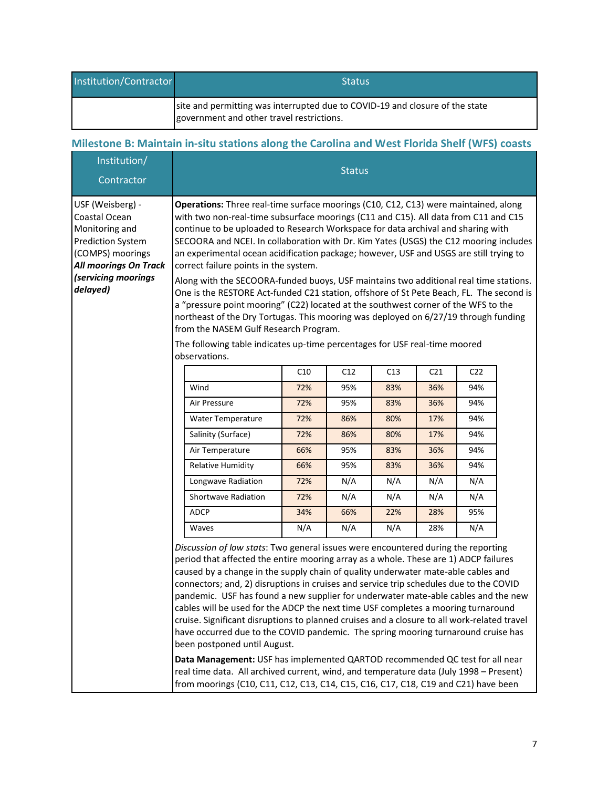| Institution/Contractor | 'Status                                                                                                                   |
|------------------------|---------------------------------------------------------------------------------------------------------------------------|
|                        | site and permitting was interrupted due to COVID-19 and closure of the state<br>government and other travel restrictions. |

# **Milestone B: Maintain in-situ stations along the Carolina and West Florida Shelf (WFS) coasts**

| Institution/<br>Contractor                                                                                                                                             | <b>Status</b>                                                                                                                                                                                                                                                                                                                                                                                                                                                                                                                                                                                                                                                                                                                                                                                                                                                                                                                                                                                                           |     |     |     |                 |                 |  |  |  |
|------------------------------------------------------------------------------------------------------------------------------------------------------------------------|-------------------------------------------------------------------------------------------------------------------------------------------------------------------------------------------------------------------------------------------------------------------------------------------------------------------------------------------------------------------------------------------------------------------------------------------------------------------------------------------------------------------------------------------------------------------------------------------------------------------------------------------------------------------------------------------------------------------------------------------------------------------------------------------------------------------------------------------------------------------------------------------------------------------------------------------------------------------------------------------------------------------------|-----|-----|-----|-----------------|-----------------|--|--|--|
| USF (Weisberg) -<br>Coastal Ocean<br>Monitoring and<br><b>Prediction System</b><br>(COMPS) moorings<br><b>All moorings On Track</b><br>(servicing moorings<br>delayed) | Operations: Three real-time surface moorings (C10, C12, C13) were maintained, along<br>with two non-real-time subsurface moorings (C11 and C15). All data from C11 and C15<br>continue to be uploaded to Research Workspace for data archival and sharing with<br>SECOORA and NCEI. In collaboration with Dr. Kim Yates (USGS) the C12 mooring includes<br>an experimental ocean acidification package; however, USF and USGS are still trying to<br>correct failure points in the system.<br>Along with the SECOORA-funded buoys, USF maintains two additional real time stations.<br>One is the RESTORE Act-funded C21 station, offshore of St Pete Beach, FL. The second is<br>a "pressure point mooring" (C22) located at the southwest corner of the WFS to the<br>northeast of the Dry Tortugas. This mooring was deployed on 6/27/19 through funding<br>from the NASEM Gulf Research Program.<br>The following table indicates up-time percentages for USF real-time moored<br>observations.                     |     |     |     |                 |                 |  |  |  |
|                                                                                                                                                                        |                                                                                                                                                                                                                                                                                                                                                                                                                                                                                                                                                                                                                                                                                                                                                                                                                                                                                                                                                                                                                         | C10 | C12 | C13 | C <sub>21</sub> | C <sub>22</sub> |  |  |  |
|                                                                                                                                                                        | Wind                                                                                                                                                                                                                                                                                                                                                                                                                                                                                                                                                                                                                                                                                                                                                                                                                                                                                                                                                                                                                    | 72% | 95% | 83% | 36%             | 94%             |  |  |  |
|                                                                                                                                                                        | Air Pressure                                                                                                                                                                                                                                                                                                                                                                                                                                                                                                                                                                                                                                                                                                                                                                                                                                                                                                                                                                                                            | 72% | 95% | 83% | 36%             | 94%             |  |  |  |
|                                                                                                                                                                        | Water Temperature                                                                                                                                                                                                                                                                                                                                                                                                                                                                                                                                                                                                                                                                                                                                                                                                                                                                                                                                                                                                       | 72% | 86% | 80% | 17%             | 94%             |  |  |  |
|                                                                                                                                                                        | Salinity (Surface)                                                                                                                                                                                                                                                                                                                                                                                                                                                                                                                                                                                                                                                                                                                                                                                                                                                                                                                                                                                                      | 72% | 86% | 80% | 17%             | 94%             |  |  |  |
|                                                                                                                                                                        | Air Temperature                                                                                                                                                                                                                                                                                                                                                                                                                                                                                                                                                                                                                                                                                                                                                                                                                                                                                                                                                                                                         | 66% | 95% | 83% | 36%             | 94%             |  |  |  |
|                                                                                                                                                                        | <b>Relative Humidity</b>                                                                                                                                                                                                                                                                                                                                                                                                                                                                                                                                                                                                                                                                                                                                                                                                                                                                                                                                                                                                | 66% | 95% | 83% | 36%             | 94%             |  |  |  |
|                                                                                                                                                                        | Longwave Radiation                                                                                                                                                                                                                                                                                                                                                                                                                                                                                                                                                                                                                                                                                                                                                                                                                                                                                                                                                                                                      | 72% | N/A | N/A | N/A             | N/A             |  |  |  |
|                                                                                                                                                                        | <b>Shortwave Radiation</b>                                                                                                                                                                                                                                                                                                                                                                                                                                                                                                                                                                                                                                                                                                                                                                                                                                                                                                                                                                                              | 72% | N/A | N/A | N/A             | N/A             |  |  |  |
|                                                                                                                                                                        | <b>ADCP</b>                                                                                                                                                                                                                                                                                                                                                                                                                                                                                                                                                                                                                                                                                                                                                                                                                                                                                                                                                                                                             | 34% | 66% | 22% | 28%             | 95%             |  |  |  |
|                                                                                                                                                                        | Waves                                                                                                                                                                                                                                                                                                                                                                                                                                                                                                                                                                                                                                                                                                                                                                                                                                                                                                                                                                                                                   | N/A | N/A | N/A | 28%             | N/A             |  |  |  |
|                                                                                                                                                                        | Discussion of low stats: Two general issues were encountered during the reporting<br>period that affected the entire mooring array as a whole. These are 1) ADCP failures<br>caused by a change in the supply chain of quality underwater mate-able cables and<br>connectors; and, 2) disruptions in cruises and service trip schedules due to the COVID<br>pandemic. USF has found a new supplier for underwater mate-able cables and the new<br>cables will be used for the ADCP the next time USF completes a mooring turnaround<br>cruise. Significant disruptions to planned cruises and a closure to all work-related travel<br>have occurred due to the COVID pandemic. The spring mooring turnaround cruise has<br>been postponed until August.<br>Data Management: USF has implemented QARTOD recommended QC test for all near<br>real time data. All archived current, wind, and temperature data (July 1998 - Present)<br>from moorings (C10, C11, C12, C13, C14, C15, C16, C17, C18, C19 and C21) have been |     |     |     |                 |                 |  |  |  |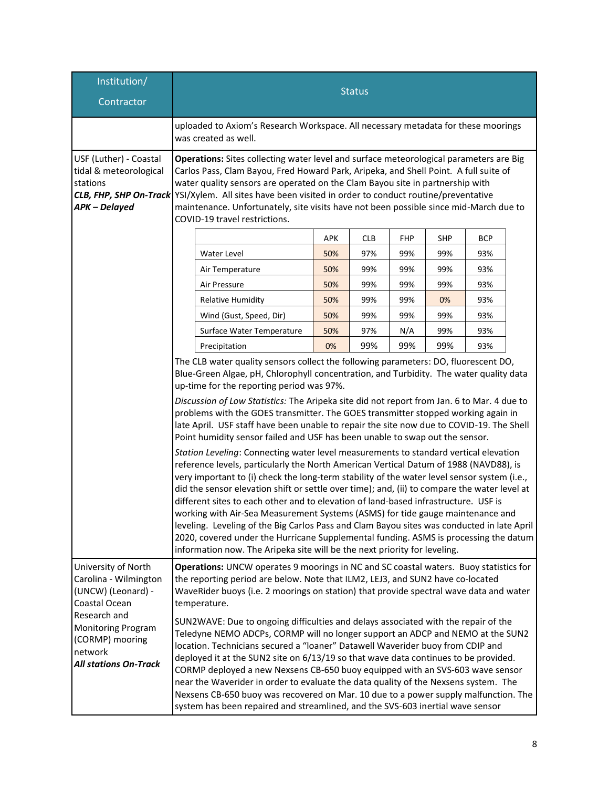| Institution/<br>Contractor                                                                                                                                                                                                                                                                                                                                                                                                                                                                                                                                                                                                                                                                                                                                                                                                                                                                                                                                                                                                                                                                                                                                                            | <b>Status</b>                                                                                                                                                                                                                                                                                                                                                                                                                                                                |                           |                                                                                                                                                                                                                                                                                                                                                                                                                                                                                                                                                                                                                                                                                                                                                                                                                                                                                                                                                                                                                                                                                                            |            |            |            |            |  |
|---------------------------------------------------------------------------------------------------------------------------------------------------------------------------------------------------------------------------------------------------------------------------------------------------------------------------------------------------------------------------------------------------------------------------------------------------------------------------------------------------------------------------------------------------------------------------------------------------------------------------------------------------------------------------------------------------------------------------------------------------------------------------------------------------------------------------------------------------------------------------------------------------------------------------------------------------------------------------------------------------------------------------------------------------------------------------------------------------------------------------------------------------------------------------------------|------------------------------------------------------------------------------------------------------------------------------------------------------------------------------------------------------------------------------------------------------------------------------------------------------------------------------------------------------------------------------------------------------------------------------------------------------------------------------|---------------------------|------------------------------------------------------------------------------------------------------------------------------------------------------------------------------------------------------------------------------------------------------------------------------------------------------------------------------------------------------------------------------------------------------------------------------------------------------------------------------------------------------------------------------------------------------------------------------------------------------------------------------------------------------------------------------------------------------------------------------------------------------------------------------------------------------------------------------------------------------------------------------------------------------------------------------------------------------------------------------------------------------------------------------------------------------------------------------------------------------------|------------|------------|------------|------------|--|
|                                                                                                                                                                                                                                                                                                                                                                                                                                                                                                                                                                                                                                                                                                                                                                                                                                                                                                                                                                                                                                                                                                                                                                                       | uploaded to Axiom's Research Workspace. All necessary metadata for these moorings<br>was created as well.                                                                                                                                                                                                                                                                                                                                                                    |                           |                                                                                                                                                                                                                                                                                                                                                                                                                                                                                                                                                                                                                                                                                                                                                                                                                                                                                                                                                                                                                                                                                                            |            |            |            |            |  |
| USF (Luther) - Coastal<br>tidal & meteorological<br>stations<br>CLB, FHP, SHP On-Track<br>APK-Delayed                                                                                                                                                                                                                                                                                                                                                                                                                                                                                                                                                                                                                                                                                                                                                                                                                                                                                                                                                                                                                                                                                 | Operations: Sites collecting water level and surface meteorological parameters are Big<br>Carlos Pass, Clam Bayou, Fred Howard Park, Aripeka, and Shell Point. A full suite of<br>water quality sensors are operated on the Clam Bayou site in partnership with<br>YSI/Xylem. All sites have been visited in order to conduct routine/preventative<br>maintenance. Unfortunately, site visits have not been possible since mid-March due to<br>COVID-19 travel restrictions. |                           |                                                                                                                                                                                                                                                                                                                                                                                                                                                                                                                                                                                                                                                                                                                                                                                                                                                                                                                                                                                                                                                                                                            |            |            |            |            |  |
|                                                                                                                                                                                                                                                                                                                                                                                                                                                                                                                                                                                                                                                                                                                                                                                                                                                                                                                                                                                                                                                                                                                                                                                       |                                                                                                                                                                                                                                                                                                                                                                                                                                                                              |                           | APK                                                                                                                                                                                                                                                                                                                                                                                                                                                                                                                                                                                                                                                                                                                                                                                                                                                                                                                                                                                                                                                                                                        | <b>CLB</b> | <b>FHP</b> | <b>SHP</b> | <b>BCP</b> |  |
|                                                                                                                                                                                                                                                                                                                                                                                                                                                                                                                                                                                                                                                                                                                                                                                                                                                                                                                                                                                                                                                                                                                                                                                       |                                                                                                                                                                                                                                                                                                                                                                                                                                                                              | <b>Water Level</b>        | 50%                                                                                                                                                                                                                                                                                                                                                                                                                                                                                                                                                                                                                                                                                                                                                                                                                                                                                                                                                                                                                                                                                                        | 97%        | 99%        | 99%        | 93%        |  |
|                                                                                                                                                                                                                                                                                                                                                                                                                                                                                                                                                                                                                                                                                                                                                                                                                                                                                                                                                                                                                                                                                                                                                                                       |                                                                                                                                                                                                                                                                                                                                                                                                                                                                              | Air Temperature           | 50%                                                                                                                                                                                                                                                                                                                                                                                                                                                                                                                                                                                                                                                                                                                                                                                                                                                                                                                                                                                                                                                                                                        | 99%        | 99%        | 99%        | 93%        |  |
|                                                                                                                                                                                                                                                                                                                                                                                                                                                                                                                                                                                                                                                                                                                                                                                                                                                                                                                                                                                                                                                                                                                                                                                       |                                                                                                                                                                                                                                                                                                                                                                                                                                                                              | Air Pressure              | 50%                                                                                                                                                                                                                                                                                                                                                                                                                                                                                                                                                                                                                                                                                                                                                                                                                                                                                                                                                                                                                                                                                                        | 99%        | 99%        | 99%        | 93%        |  |
|                                                                                                                                                                                                                                                                                                                                                                                                                                                                                                                                                                                                                                                                                                                                                                                                                                                                                                                                                                                                                                                                                                                                                                                       |                                                                                                                                                                                                                                                                                                                                                                                                                                                                              | <b>Relative Humidity</b>  | 50%                                                                                                                                                                                                                                                                                                                                                                                                                                                                                                                                                                                                                                                                                                                                                                                                                                                                                                                                                                                                                                                                                                        | 99%        | 99%        | 0%         | 93%        |  |
|                                                                                                                                                                                                                                                                                                                                                                                                                                                                                                                                                                                                                                                                                                                                                                                                                                                                                                                                                                                                                                                                                                                                                                                       |                                                                                                                                                                                                                                                                                                                                                                                                                                                                              | Wind (Gust, Speed, Dir)   | 50%                                                                                                                                                                                                                                                                                                                                                                                                                                                                                                                                                                                                                                                                                                                                                                                                                                                                                                                                                                                                                                                                                                        | 99%        | 99%        | 99%        | 93%        |  |
|                                                                                                                                                                                                                                                                                                                                                                                                                                                                                                                                                                                                                                                                                                                                                                                                                                                                                                                                                                                                                                                                                                                                                                                       |                                                                                                                                                                                                                                                                                                                                                                                                                                                                              | Surface Water Temperature | 50%                                                                                                                                                                                                                                                                                                                                                                                                                                                                                                                                                                                                                                                                                                                                                                                                                                                                                                                                                                                                                                                                                                        | 97%        | N/A        | 99%        | 93%        |  |
|                                                                                                                                                                                                                                                                                                                                                                                                                                                                                                                                                                                                                                                                                                                                                                                                                                                                                                                                                                                                                                                                                                                                                                                       |                                                                                                                                                                                                                                                                                                                                                                                                                                                                              | Precipitation             | 0%                                                                                                                                                                                                                                                                                                                                                                                                                                                                                                                                                                                                                                                                                                                                                                                                                                                                                                                                                                                                                                                                                                         | 99%        | 99%        | 99%        | 93%        |  |
|                                                                                                                                                                                                                                                                                                                                                                                                                                                                                                                                                                                                                                                                                                                                                                                                                                                                                                                                                                                                                                                                                                                                                                                       | information now. The Aripeka site will be the next priority for leveling.                                                                                                                                                                                                                                                                                                                                                                                                    |                           | Discussion of Low Statistics: The Aripeka site did not report from Jan. 6 to Mar. 4 due to<br>problems with the GOES transmitter. The GOES transmitter stopped working again in<br>late April. USF staff have been unable to repair the site now due to COVID-19. The Shell<br>Point humidity sensor failed and USF has been unable to swap out the sensor.<br>Station Leveling: Connecting water level measurements to standard vertical elevation<br>reference levels, particularly the North American Vertical Datum of 1988 (NAVD88), is<br>very important to (i) check the long-term stability of the water level sensor system (i.e.,<br>did the sensor elevation shift or settle over time); and, (ii) to compare the water level at<br>different sites to each other and to elevation of land-based infrastructure. USF is<br>working with Air-Sea Measurement Systems (ASMS) for tide gauge maintenance and<br>leveling. Leveling of the Big Carlos Pass and Clam Bayou sites was conducted in late April<br>2020, covered under the Hurricane Supplemental funding. ASMS is processing the datum |            |            |            |            |  |
| Operations: UNCW operates 9 moorings in NC and SC coastal waters. Buoy statistics for<br>University of North<br>Carolina - Wilmington<br>the reporting period are below. Note that ILM2, LEJ3, and SUN2 have co-located<br>(UNCW) (Leonard) -<br>WaveRider buoys (i.e. 2 moorings on station) that provide spectral wave data and water<br>Coastal Ocean<br>temperature.<br>Research and<br>SUN2WAVE: Due to ongoing difficulties and delays associated with the repair of the<br><b>Monitoring Program</b><br>Teledyne NEMO ADCPs, CORMP will no longer support an ADCP and NEMO at the SUN2<br>(CORMP) mooring<br>location. Technicians secured a "loaner" Datawell Waverider buoy from CDIP and<br>network<br>deployed it at the SUN2 site on 6/13/19 so that wave data continues to be provided.<br><b>All stations On-Track</b><br>CORMP deployed a new Nexsens CB-650 buoy equipped with an SVS-603 wave sensor<br>near the Waverider in order to evaluate the data quality of the Nexsens system. The<br>Nexsens CB-650 buoy was recovered on Mar. 10 due to a power supply malfunction. The<br>system has been repaired and streamlined, and the SVS-603 inertial wave sensor |                                                                                                                                                                                                                                                                                                                                                                                                                                                                              |                           |                                                                                                                                                                                                                                                                                                                                                                                                                                                                                                                                                                                                                                                                                                                                                                                                                                                                                                                                                                                                                                                                                                            |            |            |            |            |  |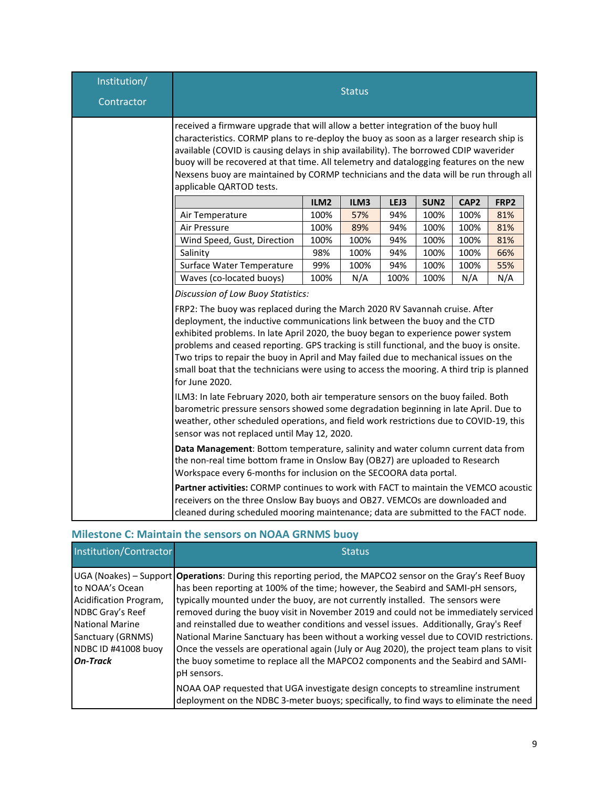| Institution/<br>Contractor |                                                                                                                                                                                                                                                                                                                                                                                                                                                                                                                                                                                         |      | <b>Status</b> |      |                  |      |      |
|----------------------------|-----------------------------------------------------------------------------------------------------------------------------------------------------------------------------------------------------------------------------------------------------------------------------------------------------------------------------------------------------------------------------------------------------------------------------------------------------------------------------------------------------------------------------------------------------------------------------------------|------|---------------|------|------------------|------|------|
|                            | received a firmware upgrade that will allow a better integration of the buoy hull<br>characteristics. CORMP plans to re-deploy the buoy as soon as a larger research ship is<br>available (COVID is causing delays in ship availability). The borrowed CDIP waverider<br>buoy will be recovered at that time. All telemetry and datalogging features on the new<br>Nexsens buoy are maintained by CORMP technicians and the data will be run through all<br>applicable QARTOD tests.                                                                                                    |      |               |      |                  |      |      |
|                            |                                                                                                                                                                                                                                                                                                                                                                                                                                                                                                                                                                                         | ILM2 | ILM3          | LEJ3 | SUN <sub>2</sub> | CAP2 | FRP2 |
|                            | Air Temperature                                                                                                                                                                                                                                                                                                                                                                                                                                                                                                                                                                         | 100% | 57%           | 94%  | 100%             | 100% | 81%  |
|                            | Air Pressure                                                                                                                                                                                                                                                                                                                                                                                                                                                                                                                                                                            | 100% | 89%           | 94%  | 100%             | 100% | 81%  |
|                            | Wind Speed, Gust, Direction                                                                                                                                                                                                                                                                                                                                                                                                                                                                                                                                                             | 100% | 100%          | 94%  | 100%             | 100% | 81%  |
|                            | Salinity                                                                                                                                                                                                                                                                                                                                                                                                                                                                                                                                                                                | 98%  | 100%          | 94%  | 100%             | 100% | 66%  |
|                            | Surface Water Temperature                                                                                                                                                                                                                                                                                                                                                                                                                                                                                                                                                               | 99%  | 100%          | 94%  | 100%             | 100% | 55%  |
|                            | Waves (co-located buoys)                                                                                                                                                                                                                                                                                                                                                                                                                                                                                                                                                                | 100% | N/A           | 100% | 100%             | N/A  | N/A  |
|                            | Discussion of Low Buoy Statistics:<br>FRP2: The buoy was replaced during the March 2020 RV Savannah cruise. After<br>deployment, the inductive communications link between the buoy and the CTD<br>exhibited problems. In late April 2020, the buoy began to experience power system<br>problems and ceased reporting. GPS tracking is still functional, and the buoy is onsite.<br>Two trips to repair the buoy in April and May failed due to mechanical issues on the<br>small boat that the technicians were using to access the mooring. A third trip is planned<br>for June 2020. |      |               |      |                  |      |      |
|                            | ILM3: In late February 2020, both air temperature sensors on the buoy failed. Both<br>barometric pressure sensors showed some degradation beginning in late April. Due to<br>weather, other scheduled operations, and field work restrictions due to COVID-19, this<br>sensor was not replaced until May 12, 2020.                                                                                                                                                                                                                                                                      |      |               |      |                  |      |      |
|                            | Data Management: Bottom temperature, salinity and water column current data from<br>the non-real time bottom frame in Onslow Bay (OB27) are uploaded to Research<br>Workspace every 6-months for inclusion on the SECOORA data portal.                                                                                                                                                                                                                                                                                                                                                  |      |               |      |                  |      |      |
|                            | <b>Partner activities: CORMP continues to work with FACT to maintain the VEMCO acoustic</b><br>receivers on the three Onslow Bay buoys and OB27. VEMCOs are downloaded and<br>cleaned during scheduled mooring maintenance; data are submitted to the FACT node.                                                                                                                                                                                                                                                                                                                        |      |               |      |                  |      |      |

## **Milestone C: Maintain the sensors on NOAA GRNMS buoy**

| <b>Institution/Contractor</b>                                                                                                                          | <b>Status</b>                                                                                                                                                                                                                                                                                                                                                                                                                                                                                                                                                                                                                                                                                                                                                             |
|--------------------------------------------------------------------------------------------------------------------------------------------------------|---------------------------------------------------------------------------------------------------------------------------------------------------------------------------------------------------------------------------------------------------------------------------------------------------------------------------------------------------------------------------------------------------------------------------------------------------------------------------------------------------------------------------------------------------------------------------------------------------------------------------------------------------------------------------------------------------------------------------------------------------------------------------|
| to NOAA's Ocean<br>Acidification Program,<br>NDBC Gray's Reef<br><b>National Marine</b><br>Sanctuary (GRNMS)<br>NDBC ID #41008 buoy<br><b>On-Track</b> | UGA (Noakes) – Support <b>  Operations</b> : During this reporting period, the MAPCO2 sensor on the Gray's Reef Buoy<br>has been reporting at 100% of the time; however, the Seabird and SAMI-pH sensors,<br>typically mounted under the buoy, are not currently installed. The sensors were<br>removed during the buoy visit in November 2019 and could not be immediately serviced<br>and reinstalled due to weather conditions and vessel issues. Additionally, Gray's Reef<br>National Marine Sanctuary has been without a working vessel due to COVID restrictions.<br>Once the vessels are operational again (July or Aug 2020), the project team plans to visit<br>the buoy sometime to replace all the MAPCO2 components and the Seabird and SAMI-<br>pH sensors. |
|                                                                                                                                                        | NOAA OAP requested that UGA investigate design concepts to streamline instrument<br>deployment on the NDBC 3-meter buoys; specifically, to find ways to eliminate the need                                                                                                                                                                                                                                                                                                                                                                                                                                                                                                                                                                                                |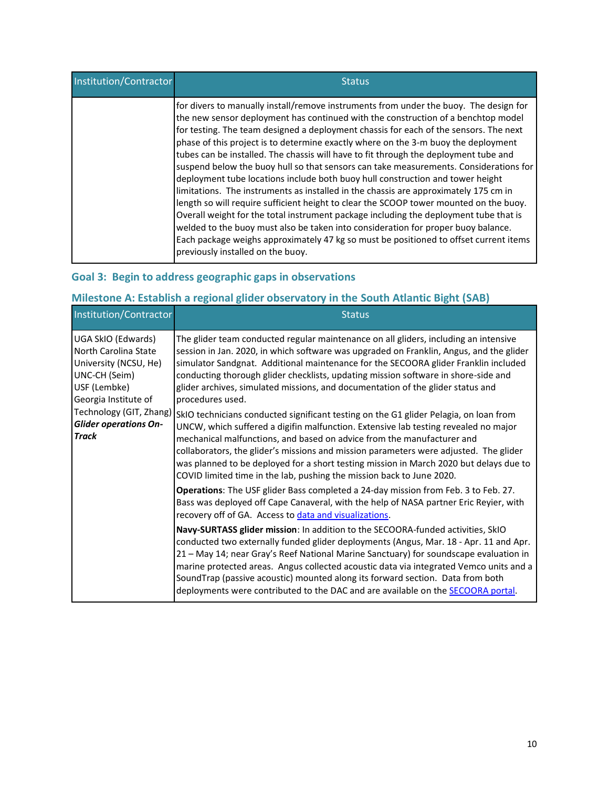| Institution/Contractor | <b>Status</b>                                                                                                                                                                                                                                                                                                                                                                                                                                                                                                                                                                                                                                                                                                                                                                                                                                                                                                                                                                                                                                                                                                              |
|------------------------|----------------------------------------------------------------------------------------------------------------------------------------------------------------------------------------------------------------------------------------------------------------------------------------------------------------------------------------------------------------------------------------------------------------------------------------------------------------------------------------------------------------------------------------------------------------------------------------------------------------------------------------------------------------------------------------------------------------------------------------------------------------------------------------------------------------------------------------------------------------------------------------------------------------------------------------------------------------------------------------------------------------------------------------------------------------------------------------------------------------------------|
|                        | for divers to manually install/remove instruments from under the buoy. The design for<br>the new sensor deployment has continued with the construction of a benchtop model<br>for testing. The team designed a deployment chassis for each of the sensors. The next<br>phase of this project is to determine exactly where on the 3-m buoy the deployment<br>tubes can be installed. The chassis will have to fit through the deployment tube and<br>suspend below the buoy hull so that sensors can take measurements. Considerations for<br>deployment tube locations include both buoy hull construction and tower height<br>limitations. The instruments as installed in the chassis are approximately 175 cm in<br>length so will require sufficient height to clear the SCOOP tower mounted on the buoy.<br>Overall weight for the total instrument package including the deployment tube that is<br>welded to the buoy must also be taken into consideration for proper buoy balance.<br>Each package weighs approximately 47 kg so must be positioned to offset current items<br>previously installed on the buoy. |

## **Goal 3: Begin to address geographic gaps in observations**

# **Milestone A: Establish a regional glider observatory in the South Atlantic Bight (SAB)**

| <b>Institution/Contractor</b>                                                                                                | <b>Status</b>                                                                                                                                                                                                                                                                                                                                                                                                                                                                                                                     |
|------------------------------------------------------------------------------------------------------------------------------|-----------------------------------------------------------------------------------------------------------------------------------------------------------------------------------------------------------------------------------------------------------------------------------------------------------------------------------------------------------------------------------------------------------------------------------------------------------------------------------------------------------------------------------|
| UGA SkIO (Edwards)<br>North Carolina State<br>University (NCSU, He)<br>UNC-CH (Seim)<br>USF (Lembke)<br>Georgia Institute of | The glider team conducted regular maintenance on all gliders, including an intensive<br>session in Jan. 2020, in which software was upgraded on Franklin, Angus, and the glider<br>simulator Sandgnat. Additional maintenance for the SECOORA glider Franklin included<br>conducting thorough glider checklists, updating mission software in shore-side and<br>glider archives, simulated missions, and documentation of the glider status and<br>procedures used.                                                               |
| Technology (GIT, Zhang)<br><b>Glider operations On-</b><br><b>Track</b>                                                      | SkIO technicians conducted significant testing on the G1 glider Pelagia, on loan from<br>UNCW, which suffered a digifin malfunction. Extensive lab testing revealed no major<br>mechanical malfunctions, and based on advice from the manufacturer and<br>collaborators, the glider's missions and mission parameters were adjusted. The glider<br>was planned to be deployed for a short testing mission in March 2020 but delays due to<br>COVID limited time in the lab, pushing the mission back to June 2020.                |
|                                                                                                                              | Operations: The USF glider Bass completed a 24-day mission from Feb. 3 to Feb. 27.<br>Bass was deployed off Cape Canaveral, with the help of NASA partner Eric Reyier, with<br>recovery off of GA. Access to data and visualizations.                                                                                                                                                                                                                                                                                             |
|                                                                                                                              | Navy-SURTASS glider mission: In addition to the SECOORA-funded activities, SkIO<br>conducted two externally funded glider deployments (Angus, Mar. 18 - Apr. 11 and Apr.<br>21 - May 14; near Gray's Reef National Marine Sanctuary) for soundscape evaluation in<br>marine protected areas. Angus collected acoustic data via integrated Vemco units and a<br>SoundTrap (passive acoustic) mounted along its forward section. Data from both<br>deployments were contributed to the DAC and are available on the SECOORA portal. |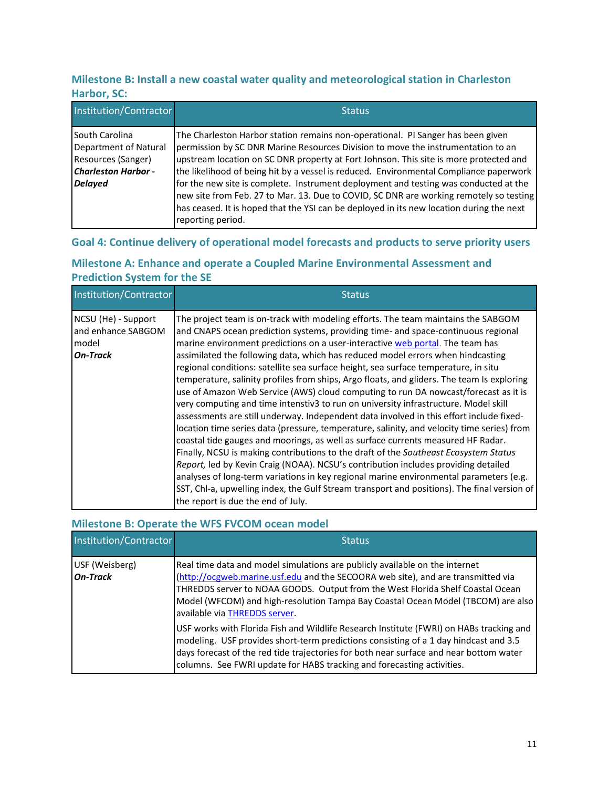## **Milestone B: Install a new coastal water quality and meteorological station in Charleston Harbor, SC:**

| Institution/Contractor                                                                                        | <b>Status</b>                                                                                                                                                                                                                                                                                                                                                                                                                                                                                                                                                                                                                                             |
|---------------------------------------------------------------------------------------------------------------|-----------------------------------------------------------------------------------------------------------------------------------------------------------------------------------------------------------------------------------------------------------------------------------------------------------------------------------------------------------------------------------------------------------------------------------------------------------------------------------------------------------------------------------------------------------------------------------------------------------------------------------------------------------|
| South Carolina<br>Department of Natural<br>Resources (Sanger)<br><b>Charleston Harbor -</b><br><b>Delayed</b> | The Charleston Harbor station remains non-operational. PI Sanger has been given<br>permission by SC DNR Marine Resources Division to move the instrumentation to an<br>upstream location on SC DNR property at Fort Johnson. This site is more protected and<br>the likelihood of being hit by a vessel is reduced. Environmental Compliance paperwork<br>for the new site is complete. Instrument deployment and testing was conducted at the<br>new site from Feb. 27 to Mar. 13. Due to COVID, SC DNR are working remotely so testing<br>has ceased. It is hoped that the YSI can be deployed in its new location during the next<br>reporting period. |

## **Goal 4: Continue delivery of operational model forecasts and products to serve priority users**

## **Milestone A: Enhance and operate a Coupled Marine Environmental Assessment and Prediction System for the SE**

| Institution/Contractor                                         | <b>Status</b>                                                                                                                                                                                                                                                                                                                                                                                                                                                                                                                                                                                                                                                                                                                                                                                                                                                                                                                                                                                                                                                                                                                                                                                                                                                                                                                                                                                           |
|----------------------------------------------------------------|---------------------------------------------------------------------------------------------------------------------------------------------------------------------------------------------------------------------------------------------------------------------------------------------------------------------------------------------------------------------------------------------------------------------------------------------------------------------------------------------------------------------------------------------------------------------------------------------------------------------------------------------------------------------------------------------------------------------------------------------------------------------------------------------------------------------------------------------------------------------------------------------------------------------------------------------------------------------------------------------------------------------------------------------------------------------------------------------------------------------------------------------------------------------------------------------------------------------------------------------------------------------------------------------------------------------------------------------------------------------------------------------------------|
| NCSU (He) - Support<br>and enhance SABGOM<br>model<br>On-Track | The project team is on-track with modeling efforts. The team maintains the SABGOM<br>and CNAPS ocean prediction systems, providing time- and space-continuous regional<br>marine environment predictions on a user-interactive web portal. The team has<br>assimilated the following data, which has reduced model errors when hindcasting<br>regional conditions: satellite sea surface height, sea surface temperature, in situ<br>temperature, salinity profiles from ships, Argo floats, and gliders. The team Is exploring<br>use of Amazon Web Service (AWS) cloud computing to run DA nowcast/forecast as it is<br>very computing and time intenstiv3 to run on university infrastructure. Model skill<br>assessments are still underway. Independent data involved in this effort include fixed-<br>location time series data (pressure, temperature, salinity, and velocity time series) from<br>coastal tide gauges and moorings, as well as surface currents measured HF Radar.<br>Finally, NCSU is making contributions to the draft of the Southeast Ecosystem Status<br>Report, led by Kevin Craig (NOAA). NCSU's contribution includes providing detailed<br>analyses of long-term variations in key regional marine environmental parameters (e.g.<br>SST, Chl-a, upwelling index, the Gulf Stream transport and positions). The final version of<br>the report is due the end of July. |

## **Milestone B: Operate the WFS FVCOM ocean model**

| Institution/Contractor            | <b>Status</b>                                                                                                                                                                                                                                                                                                                                                          |
|-----------------------------------|------------------------------------------------------------------------------------------------------------------------------------------------------------------------------------------------------------------------------------------------------------------------------------------------------------------------------------------------------------------------|
| USF (Weisberg)<br><b>On-Track</b> | Real time data and model simulations are publicly available on the internet<br>(http://ocgweb.marine.usf.edu and the SECOORA web site), and are transmitted via<br>THREDDS server to NOAA GOODS. Output from the West Florida Shelf Coastal Ocean<br>Model (WFCOM) and high-resolution Tampa Bay Coastal Ocean Model (TBCOM) are also<br>available via THREDDS server. |
|                                   | USF works with Florida Fish and Wildlife Research Institute (FWRI) on HABs tracking and<br>modeling. USF provides short-term predictions consisting of a 1 day hindcast and 3.5<br>days forecast of the red tide trajectories for both near surface and near bottom water<br>columns. See FWRI update for HABS tracking and forecasting activities.                    |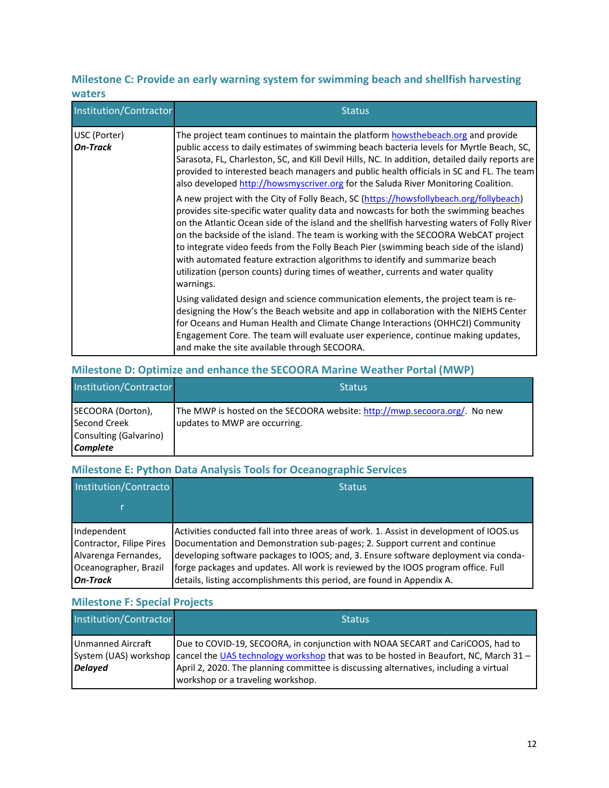## **Milestone C: Provide an early warning system for swimming beach and shellfish harvesting waters**

| Institution/Contractor          | <b>Status</b>                                                                                                                                                                                                                                                                                                                                                                                                                                                                                                                                                                                                                                 |
|---------------------------------|-----------------------------------------------------------------------------------------------------------------------------------------------------------------------------------------------------------------------------------------------------------------------------------------------------------------------------------------------------------------------------------------------------------------------------------------------------------------------------------------------------------------------------------------------------------------------------------------------------------------------------------------------|
| USC (Porter)<br><b>On-Track</b> | The project team continues to maintain the platform howsthebeach.org and provide<br>public access to daily estimates of swimming beach bacteria levels for Myrtle Beach, SC,<br>Sarasota, FL, Charleston, SC, and Kill Devil Hills, NC. In addition, detailed daily reports are<br>provided to interested beach managers and public health officials in SC and FL. The team<br>also developed http://howsmyscriver.org for the Saluda River Monitoring Coalition.                                                                                                                                                                             |
|                                 | A new project with the City of Folly Beach, SC (https://howsfollybeach.org/follybeach)<br>provides site-specific water quality data and nowcasts for both the swimming beaches<br>on the Atlantic Ocean side of the island and the shellfish harvesting waters of Folly River<br>on the backside of the island. The team is working with the SECOORA WebCAT project<br>to integrate video feeds from the Folly Beach Pier (swimming beach side of the island)<br>with automated feature extraction algorithms to identify and summarize beach<br>utilization (person counts) during times of weather, currents and water quality<br>warnings. |
|                                 | Using validated design and science communication elements, the project team is re-<br>designing the How's the Beach website and app in collaboration with the NIEHS Center<br>for Oceans and Human Health and Climate Change Interactions (OHHC2I) Community<br>Engagement Core. The team will evaluate user experience, continue making updates,<br>and make the site available through SECOORA.                                                                                                                                                                                                                                             |

## **Milestone D: Optimize and enhance the SECOORA Marine Weather Portal (MWP)**

| Institution/Contractor                                                                | <b>Status</b>                                                                                              |
|---------------------------------------------------------------------------------------|------------------------------------------------------------------------------------------------------------|
| SECOORA (Dorton),<br><b>Second Creek</b><br>Consulting (Galvarino)<br><b>Complete</b> | The MWP is hosted on the SECOORA website: http://mwp.secoora.org/. No new<br>updates to MWP are occurring. |

## **Milestone E: Python Data Analysis Tools for Oceanographic Services**

| Institution/Contracto                         | <b>Status</b>                                                                                                                                                            |
|-----------------------------------------------|--------------------------------------------------------------------------------------------------------------------------------------------------------------------------|
|                                               |                                                                                                                                                                          |
| Independent<br>Contractor, Filipe Pires       | Activities conducted fall into three areas of work. 1. Assist in development of IOOS.us<br>Documentation and Demonstration sub-pages; 2. Support current and continue    |
| Alvarenga Fernandes,<br>Oceanographer, Brazil | developing software packages to IOOS; and, 3. Ensure software deployment via conda-<br>forge packages and updates. All work is reviewed by the IOOS program office. Full |
| <b>On-Track</b>                               | details, listing accomplishments this period, are found in Appendix A.                                                                                                   |

## **Milestone F: Special Projects**

| Institution/Contractor              | <b>Status</b>                                                                                                                                                                                                                                                                                                              |
|-------------------------------------|----------------------------------------------------------------------------------------------------------------------------------------------------------------------------------------------------------------------------------------------------------------------------------------------------------------------------|
| Unmanned Aircraft<br><b>Delayed</b> | Due to COVID-19, SECOORA, in conjunction with NOAA SECART and CariCOOS, had to<br>System (UAS) workshop cancel the UAS technology workshop that was to be hosted in Beaufort, NC, March 31 -<br>April 2, 2020. The planning committee is discussing alternatives, including a virtual<br>workshop or a traveling workshop. |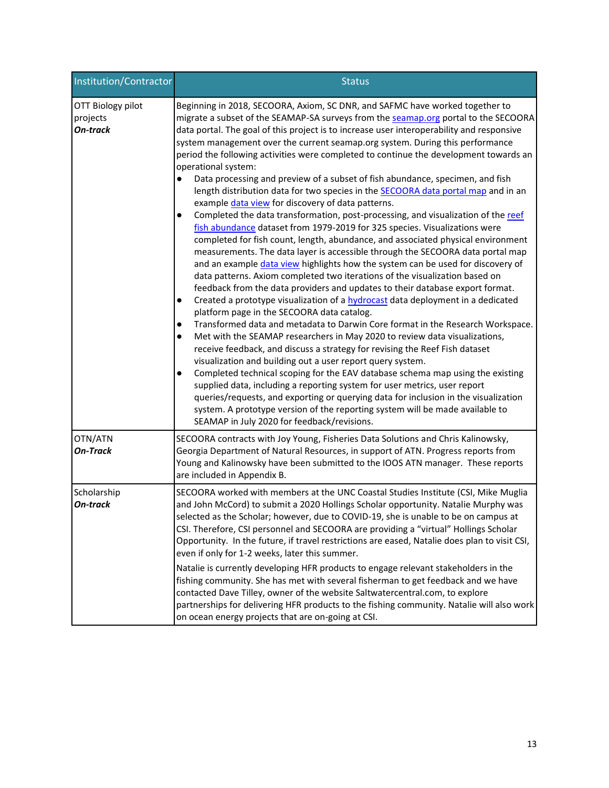| Institution/Contractor                           | <b>Status</b>                                                                                                                                                                                                                                                                                                                                                                                                                                                                                                                                                                                                                                                                                                                                                                                                                                                                                                                                                                                                                                                                                                                                                                                                                                                                                                                                                                                                                                                                                                                                                                                                                                                                                                                                                                                                                                                                                                                                                                                                                                                                                                                                                                                               |
|--------------------------------------------------|-------------------------------------------------------------------------------------------------------------------------------------------------------------------------------------------------------------------------------------------------------------------------------------------------------------------------------------------------------------------------------------------------------------------------------------------------------------------------------------------------------------------------------------------------------------------------------------------------------------------------------------------------------------------------------------------------------------------------------------------------------------------------------------------------------------------------------------------------------------------------------------------------------------------------------------------------------------------------------------------------------------------------------------------------------------------------------------------------------------------------------------------------------------------------------------------------------------------------------------------------------------------------------------------------------------------------------------------------------------------------------------------------------------------------------------------------------------------------------------------------------------------------------------------------------------------------------------------------------------------------------------------------------------------------------------------------------------------------------------------------------------------------------------------------------------------------------------------------------------------------------------------------------------------------------------------------------------------------------------------------------------------------------------------------------------------------------------------------------------------------------------------------------------------------------------------------------------|
| OTT Biology pilot<br>projects<br><b>On-track</b> | Beginning in 2018, SECOORA, Axiom, SC DNR, and SAFMC have worked together to<br>migrate a subset of the SEAMAP-SA surveys from the seamap.org portal to the SECOORA<br>data portal. The goal of this project is to increase user interoperability and responsive<br>system management over the current seamap.org system. During this performance<br>period the following activities were completed to continue the development towards an<br>operational system:<br>Data processing and preview of a subset of fish abundance, specimen, and fish<br>length distribution data for two species in the <b>SECOORA</b> data portal map and in an<br>example data view for discovery of data patterns.<br>Completed the data transformation, post-processing, and visualization of the reef<br>$\bullet$<br>fish abundance dataset from 1979-2019 for 325 species. Visualizations were<br>completed for fish count, length, abundance, and associated physical environment<br>measurements. The data layer is accessible through the SECOORA data portal map<br>and an example data view highlights how the system can be used for discovery of<br>data patterns. Axiom completed two iterations of the visualization based on<br>feedback from the data providers and updates to their database export format.<br>Created a prototype visualization of a <b>hydrocast</b> data deployment in a dedicated<br>$\bullet$<br>platform page in the SECOORA data catalog.<br>Transformed data and metadata to Darwin Core format in the Research Workspace.<br>$\bullet$<br>Met with the SEAMAP researchers in May 2020 to review data visualizations,<br>$\bullet$<br>receive feedback, and discuss a strategy for revising the Reef Fish dataset<br>visualization and building out a user report query system.<br>Completed technical scoping for the EAV database schema map using the existing<br>$\bullet$<br>supplied data, including a reporting system for user metrics, user report<br>queries/requests, and exporting or querying data for inclusion in the visualization<br>system. A prototype version of the reporting system will be made available to<br>SEAMAP in July 2020 for feedback/revisions. |
| OTN/ATN<br><b>On-Track</b>                       | SECOORA contracts with Joy Young, Fisheries Data Solutions and Chris Kalinowsky,<br>Georgia Department of Natural Resources, in support of ATN. Progress reports from<br>Young and Kalinowsky have been submitted to the IOOS ATN manager. These reports<br>are included in Appendix B.                                                                                                                                                                                                                                                                                                                                                                                                                                                                                                                                                                                                                                                                                                                                                                                                                                                                                                                                                                                                                                                                                                                                                                                                                                                                                                                                                                                                                                                                                                                                                                                                                                                                                                                                                                                                                                                                                                                     |
| Scholarship<br><b>On-track</b>                   | SECOORA worked with members at the UNC Coastal Studies Institute (CSI, Mike Muglia<br>and John McCord) to submit a 2020 Hollings Scholar opportunity. Natalie Murphy was<br>selected as the Scholar; however, due to COVID-19, she is unable to be on campus at<br>CSI. Therefore, CSI personnel and SECOORA are providing a "virtual" Hollings Scholar<br>Opportunity. In the future, if travel restrictions are eased, Natalie does plan to visit CSI,<br>even if only for 1-2 weeks, later this summer.<br>Natalie is currently developing HFR products to engage relevant stakeholders in the<br>fishing community. She has met with several fisherman to get feedback and we have<br>contacted Dave Tilley, owner of the website Saltwatercentral.com, to explore<br>partnerships for delivering HFR products to the fishing community. Natalie will also work                                                                                                                                                                                                                                                                                                                                                                                                                                                                                                                                                                                                                                                                                                                                                                                                                                                                                                                                                                                                                                                                                                                                                                                                                                                                                                                                         |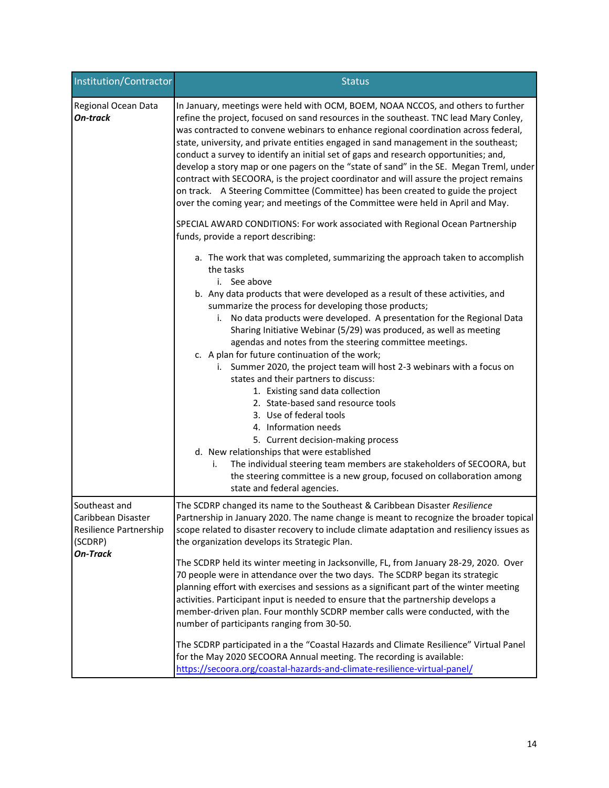| Institution/Contractor                                                                      | <b>Status</b>                                                                                                                                                                                                                                                                                                                                                                                                                                                                                                                                                                                                                                                                                                                                                                                                                                                                                                                                                                                                                                                                        |
|---------------------------------------------------------------------------------------------|--------------------------------------------------------------------------------------------------------------------------------------------------------------------------------------------------------------------------------------------------------------------------------------------------------------------------------------------------------------------------------------------------------------------------------------------------------------------------------------------------------------------------------------------------------------------------------------------------------------------------------------------------------------------------------------------------------------------------------------------------------------------------------------------------------------------------------------------------------------------------------------------------------------------------------------------------------------------------------------------------------------------------------------------------------------------------------------|
| Regional Ocean Data<br><b>On-track</b>                                                      | In January, meetings were held with OCM, BOEM, NOAA NCCOS, and others to further<br>refine the project, focused on sand resources in the southeast. TNC lead Mary Conley,<br>was contracted to convene webinars to enhance regional coordination across federal,<br>state, university, and private entities engaged in sand management in the southeast;<br>conduct a survey to identify an initial set of gaps and research opportunities; and,<br>develop a story map or one pagers on the "state of sand" in the SE. Megan Treml, under<br>contract with SECOORA, is the project coordinator and will assure the project remains<br>on track. A Steering Committee (Committee) has been created to guide the project<br>over the coming year; and meetings of the Committee were held in April and May.<br>SPECIAL AWARD CONDITIONS: For work associated with Regional Ocean Partnership                                                                                                                                                                                          |
|                                                                                             | funds, provide a report describing:<br>a. The work that was completed, summarizing the approach taken to accomplish<br>the tasks<br>i. See above<br>b. Any data products that were developed as a result of these activities, and<br>summarize the process for developing those products;<br>i. No data products were developed. A presentation for the Regional Data<br>Sharing Initiative Webinar (5/29) was produced, as well as meeting<br>agendas and notes from the steering committee meetings.<br>c. A plan for future continuation of the work;<br>i. Summer 2020, the project team will host 2-3 webinars with a focus on<br>states and their partners to discuss:<br>1. Existing sand data collection<br>2. State-based sand resource tools<br>3. Use of federal tools<br>4. Information needs<br>5. Current decision-making process<br>d. New relationships that were established<br>The individual steering team members are stakeholders of SECOORA, but<br>i.<br>the steering committee is a new group, focused on collaboration among<br>state and federal agencies. |
| Southeast and<br>Caribbean Disaster<br>Resilience Partnership<br>(SCDRP)<br><b>On-Track</b> | The SCDRP changed its name to the Southeast & Caribbean Disaster Resilience<br>Partnership in January 2020. The name change is meant to recognize the broader topical<br>scope related to disaster recovery to include climate adaptation and resiliency issues as<br>the organization develops its Strategic Plan.<br>The SCDRP held its winter meeting in Jacksonville, FL, from January 28-29, 2020. Over                                                                                                                                                                                                                                                                                                                                                                                                                                                                                                                                                                                                                                                                         |
|                                                                                             | 70 people were in attendance over the two days. The SCDRP began its strategic<br>planning effort with exercises and sessions as a significant part of the winter meeting<br>activities. Participant input is needed to ensure that the partnership develops a<br>member-driven plan. Four monthly SCDRP member calls were conducted, with the<br>number of participants ranging from 30-50.                                                                                                                                                                                                                                                                                                                                                                                                                                                                                                                                                                                                                                                                                          |
|                                                                                             | The SCDRP participated in a the "Coastal Hazards and Climate Resilience" Virtual Panel<br>for the May 2020 SECOORA Annual meeting. The recording is available:<br>https://secoora.org/coastal-hazards-and-climate-resilience-virtual-panel/                                                                                                                                                                                                                                                                                                                                                                                                                                                                                                                                                                                                                                                                                                                                                                                                                                          |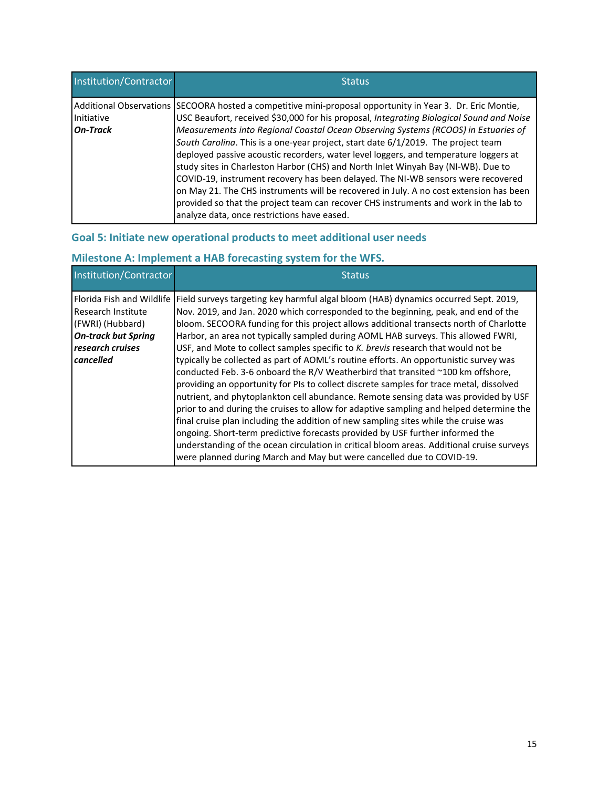| Institution/Contractor | <b>Status</b>                                                                                                                                                                                                                                                                                                                                                                                                                                                                                                                                                                                                                                                                                                                                                                                                                                                                       |
|------------------------|-------------------------------------------------------------------------------------------------------------------------------------------------------------------------------------------------------------------------------------------------------------------------------------------------------------------------------------------------------------------------------------------------------------------------------------------------------------------------------------------------------------------------------------------------------------------------------------------------------------------------------------------------------------------------------------------------------------------------------------------------------------------------------------------------------------------------------------------------------------------------------------|
| Initiative<br>On-Track | Additional Observations SECOORA hosted a competitive mini-proposal opportunity in Year 3. Dr. Eric Montie,<br>USC Beaufort, received \$30,000 for his proposal, Integrating Biological Sound and Noise<br>Measurements into Regional Coastal Ocean Observing Systems (RCOOS) in Estuaries of<br>South Carolina. This is a one-year project, start date 6/1/2019. The project team<br>deployed passive acoustic recorders, water level loggers, and temperature loggers at<br>study sites in Charleston Harbor (CHS) and North Inlet Winyah Bay (NI-WB). Due to<br>COVID-19, instrument recovery has been delayed. The NI-WB sensors were recovered<br>on May 21. The CHS instruments will be recovered in July. A no cost extension has been<br>provided so that the project team can recover CHS instruments and work in the lab to<br>analyze data, once restrictions have eased. |

## **Goal 5: Initiate new operational products to meet additional user needs**

# **Milestone A: Implement a HAB forecasting system for the WFS.**

| Institution/Contractor                            | <b>Status</b>                                                                                                                                                                                                                                                                                                                                                                                                                                         |
|---------------------------------------------------|-------------------------------------------------------------------------------------------------------------------------------------------------------------------------------------------------------------------------------------------------------------------------------------------------------------------------------------------------------------------------------------------------------------------------------------------------------|
| Florida Fish and Wildlife I<br>Research Institute | Field surveys targeting key harmful algal bloom (HAB) dynamics occurred Sept. 2019,<br>Nov. 2019, and Jan. 2020 which corresponded to the beginning, peak, and end of the                                                                                                                                                                                                                                                                             |
| (FWRI) (Hubbard)                                  | bloom. SECOORA funding for this project allows additional transects north of Charlotte                                                                                                                                                                                                                                                                                                                                                                |
| <b>On-track but Spring</b><br>research cruises    | Harbor, an area not typically sampled during AOML HAB surveys. This allowed FWRI,<br>USF, and Mote to collect samples specific to K. brevis research that would not be                                                                                                                                                                                                                                                                                |
| cancelled                                         | typically be collected as part of AOML's routine efforts. An opportunistic survey was<br>conducted Feb. 3-6 onboard the R/V Weatherbird that transited ~100 km offshore,<br>providing an opportunity for PIs to collect discrete samples for trace metal, dissolved<br>nutrient, and phytoplankton cell abundance. Remote sensing data was provided by USF<br>prior to and during the cruises to allow for adaptive sampling and helped determine the |
|                                                   | final cruise plan including the addition of new sampling sites while the cruise was<br>ongoing. Short-term predictive forecasts provided by USF further informed the<br>understanding of the ocean circulation in critical bloom areas. Additional cruise surveys<br>were planned during March and May but were cancelled due to COVID-19.                                                                                                            |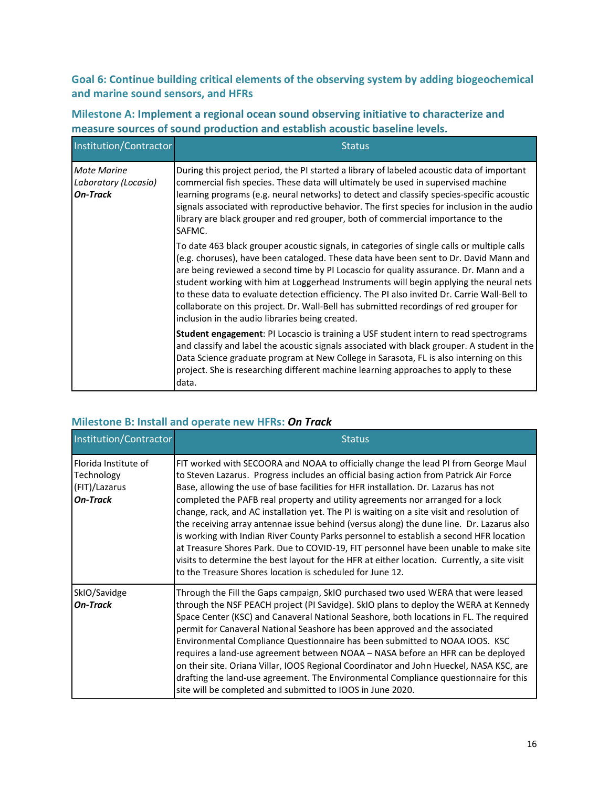**Goal 6: Continue building critical elements of the observing system by adding biogeochemical and marine sound sensors, and HFRs**

## **Milestone A: Implement a regional ocean sound observing initiative to characterize and measure sources of sound production and establish acoustic baseline levels.**

| Institution/Contractor                                        | <b>Status</b>                                                                                                                                                                                                                                                                                                                                                                                                                                                                                                                                                                                                       |
|---------------------------------------------------------------|---------------------------------------------------------------------------------------------------------------------------------------------------------------------------------------------------------------------------------------------------------------------------------------------------------------------------------------------------------------------------------------------------------------------------------------------------------------------------------------------------------------------------------------------------------------------------------------------------------------------|
| <b>Mote Marine</b><br>Laboratory (Locasio)<br><b>On-Track</b> | During this project period, the PI started a library of labeled acoustic data of important<br>commercial fish species. These data will ultimately be used in supervised machine<br>learning programs (e.g. neural networks) to detect and classify species-specific acoustic<br>signals associated with reproductive behavior. The first species for inclusion in the audio<br>library are black grouper and red grouper, both of commercial importance to the<br>SAFMC.                                                                                                                                            |
|                                                               | To date 463 black grouper acoustic signals, in categories of single calls or multiple calls<br>(e.g. choruses), have been cataloged. These data have been sent to Dr. David Mann and<br>are being reviewed a second time by PI Locascio for quality assurance. Dr. Mann and a<br>student working with him at Loggerhead Instruments will begin applying the neural nets<br>to these data to evaluate detection efficiency. The PI also invited Dr. Carrie Wall-Bell to<br>collaborate on this project. Dr. Wall-Bell has submitted recordings of red grouper for<br>inclusion in the audio libraries being created. |
|                                                               | Student engagement: PI Locascio is training a USF student intern to read spectrograms<br>and classify and label the acoustic signals associated with black grouper. A student in the<br>Data Science graduate program at New College in Sarasota, FL is also interning on this<br>project. She is researching different machine learning approaches to apply to these<br>data.                                                                                                                                                                                                                                      |

## **Milestone B: Install and operate new HFRs:** *On Track*

| Institution/Contractor                                                 | <b>Status</b>                                                                                                                                                                                                                                                                                                                                                                                                                                                                                                                                                                                                                                                                                                                                                                                                                                                                                  |
|------------------------------------------------------------------------|------------------------------------------------------------------------------------------------------------------------------------------------------------------------------------------------------------------------------------------------------------------------------------------------------------------------------------------------------------------------------------------------------------------------------------------------------------------------------------------------------------------------------------------------------------------------------------------------------------------------------------------------------------------------------------------------------------------------------------------------------------------------------------------------------------------------------------------------------------------------------------------------|
| Florida Institute of<br>Technology<br>(FIT)/Lazarus<br><b>On-Track</b> | FIT worked with SECOORA and NOAA to officially change the lead PI from George Maul<br>to Steven Lazarus. Progress includes an official basing action from Patrick Air Force<br>Base, allowing the use of base facilities for HFR installation. Dr. Lazarus has not<br>completed the PAFB real property and utility agreements nor arranged for a lock<br>change, rack, and AC installation yet. The PI is waiting on a site visit and resolution of<br>the receiving array antennae issue behind (versus along) the dune line. Dr. Lazarus also<br>is working with Indian River County Parks personnel to establish a second HFR location<br>at Treasure Shores Park. Due to COVID-19, FIT personnel have been unable to make site<br>visits to determine the best layout for the HFR at either location. Currently, a site visit<br>to the Treasure Shores location is scheduled for June 12. |
| SkIO/Savidge<br><b>On-Track</b>                                        | Through the Fill the Gaps campaign, SkIO purchased two used WERA that were leased<br>through the NSF PEACH project (PI Savidge). SkIO plans to deploy the WERA at Kennedy<br>Space Center (KSC) and Canaveral National Seashore, both locations in FL. The required<br>permit for Canaveral National Seashore has been approved and the associated<br>Environmental Compliance Questionnaire has been submitted to NOAA IOOS. KSC<br>requires a land-use agreement between NOAA - NASA before an HFR can be deployed<br>on their site. Oriana Villar, IOOS Regional Coordinator and John Hueckel, NASA KSC, are<br>drafting the land-use agreement. The Environmental Compliance questionnaire for this<br>site will be completed and submitted to IOOS in June 2020.                                                                                                                          |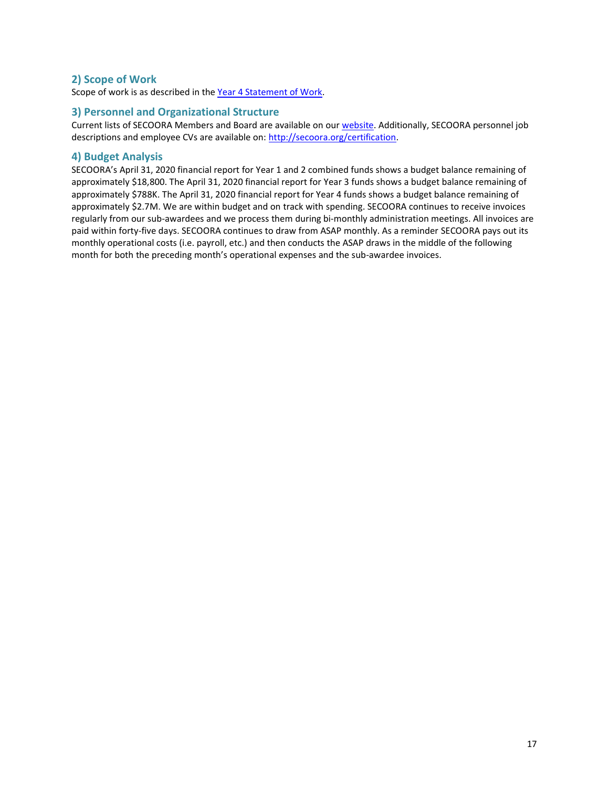### **2) Scope of Work**

Scope of work is as described in the [Year 4 Statement of Work.](http://secoora.org/wp-content/uploads/2019/12/MASTER_FY19-Descope-Proposal_Final.pdf)

#### **3) Personnel and Organizational Structure**

Current lists of SECOORA Members and Board are available on our [website.](http://secoora.org/members/board) Additionally, SECOORA personnel job descriptions and employee CVs are available on: [http://secoora.org/certification.](http://secoora.org/certification) 

#### **4) Budget Analysis**

SECOORA's April 31, 2020 financial report for Year 1 and 2 combined funds shows a budget balance remaining of approximately \$18,800. The April 31, 2020 financial report for Year 3 funds shows a budget balance remaining of approximately \$788K. The April 31, 2020 financial report for Year 4 funds shows a budget balance remaining of approximately \$2.7M. We are within budget and on track with spending. SECOORA continues to receive invoices regularly from our sub-awardees and we process them during bi-monthly administration meetings. All invoices are paid within forty-five days. SECOORA continues to draw from ASAP monthly. As a reminder SECOORA pays out its monthly operational costs (i.e. payroll, etc.) and then conducts the ASAP draws in the middle of the following month for both the preceding month's operational expenses and the sub-awardee invoices.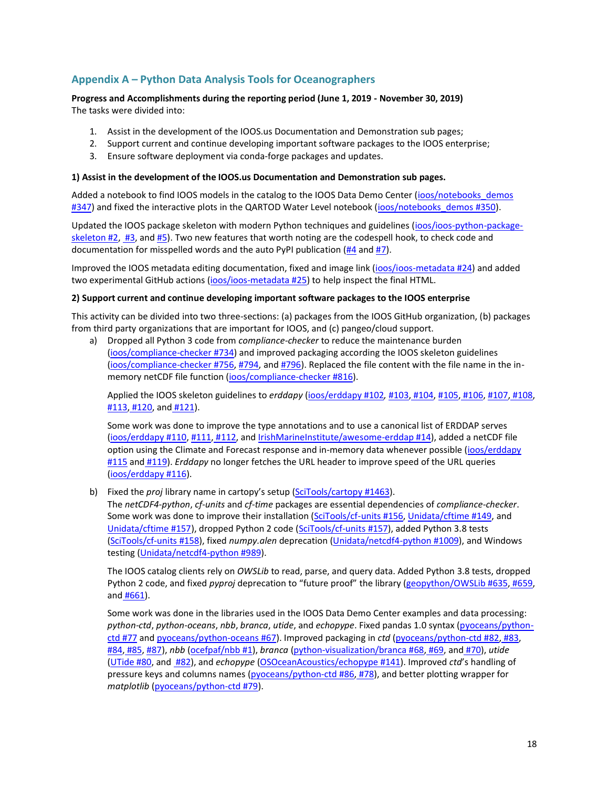## **Appendix A – Python Data Analysis Tools for Oceanographers**

#### **Progress and Accomplishments during the reporting period (June 1, 2019 - November 30, 2019)** The tasks were divided into:

- 1. Assist in the development of the IOOS.us Documentation and Demonstration sub pages;
- 2. Support current and continue developing important software packages to the IOOS enterprise;
- 3. Ensure software deployment via conda-forge packages and updates.

#### **1) Assist in the development of the IOOS.us Documentation and Demonstration sub pages.**

Added a notebook to find IOOS models in the catalog to the IOOS Data Demo Center (ioos/notebooks\_demos [#347\)](https://github.com/ioos/notebooks_demos/pull/347) and fixed the interactive plots in the QARTOD Water Level notebook [\(ioos/notebooks\\_demos #350\)](https://github.com/ioos/notebooks_demos/pull/350).

Updated the IOOS package skeleton with modern Python techniques and guidelines [\(ioos/ioos-python-package](https://github.com/ioos/ioos-python-package-skeleton/pull/2)[skeleton #2,](https://github.com/ioos/ioos-python-package-skeleton/pull/2) [#3,](https://github.com/ioos/ioos-python-package-skeleton/pull/3) and [#5\)](https://github.com/ioos/ioos-python-package-skeleton/pull/5). Two new features that worth noting are the codespell hook, to check code and documentation for misspelled words and the auto PyPI publication [\(#4](https://github.com/ioos/ioos-python-package-skeleton/pull/4) and [#7\)](https://github.com/ioos/ioos-python-package-skeleton/pull/7).

Improved the IOOS metadata editing documentation, fixed and image link [\(ioos/ioos-metadata #24\)](https://github.com/ioos/ioos-metadata/pull/24) and added two experimental GitHub actions [\(ioos/ioos-metadata #25\)](https://github.com/ioos/ioos-metadata/pull/25) to help inspect the final HTML.

#### **2) Support current and continue developing important software packages to the IOOS enterprise**

This activity can be divided into two three-sections: (a) packages from the IOOS GitHub organization, (b) packages from third party organizations that are important for IOOS, and (c) pangeo/cloud support.

a) Dropped all Python 3 code from *compliance-checker* to reduce the maintenance burden [\(ioos/compliance-checker #734\)](https://github.com/ioos/compliance-checker/pull/734) and improved packaging according the IOOS skeleton guidelines [\(ioos/compliance-checker #756,](https://github.com/ioos/compliance-checker/pull/756) [#794,](https://github.com/ioos/compliance-checker/pull/794) an[d #796\)](https://github.com/ioos/compliance-checker/pull/796). Replaced the file content with the file name in the inmemory netCDF file function [\(ioos/compliance-checker #816\)](https://github.com/ioos/compliance-checker/pull/816).

Applied the IOOS skeleton guidelines to *erddapy* [\(ioos/erddapy #102](https://github.com/ioos/erddapy/pull/102)*,* [#103,](https://github.com/ioos/erddapy/pull/103) [#104,](https://github.com/ioos/erddapy/pull/104) [#105,](https://github.com/ioos/erddapy/pull/105) [#106,](https://github.com/ioos/erddapy/pull/106) [#107,](https://github.com/ioos/erddapy/pull/107) [#108,](https://github.com/ioos/erddapy/pull/108) [#113,](https://github.com/ioos/erddapy/pull/113) [#120,](https://github.com/ioos/erddapy/pull/120) and [#121\)](https://github.com/ioos/erddapy/pull/121).

Some work was done to improve the type annotations and to use a canonical list of ERDDAP serves [\(ioos/erddapy #110,](https://github.com/ioos/erddapy/pull/110) [#111,](https://github.com/ioos/erddapy/pull/111) [#112,](https://github.com/ioos/erddapy/pull/112) and [IrishMarineInstitute/awesome-erddap #14\)](https://github.com/IrishMarineInstitute/awesome-erddap/pull/14), added a netCDF file option using the Climate and Forecast response and in-memory data whenever possible [\(ioos/erddapy](https://github.com/ioos/erddapy/pull/115)  [#115](https://github.com/ioos/erddapy/pull/115) and [#119\)](https://github.com/ioos/erddapy/pull/119). *Erddapy* no longer fetches the URL header to improve speed of the URL queries [\(ioos/erddapy #116\)](https://github.com/ioos/erddapy/pull/116).

b) Fixed the *proj* library name in cartopy's setup ([SciTools/cartopy #1463\)](https://github.com/SciTools/cartopy/pull/1463).

The *netCDF4-python*, *cf-units* and *cf-time* packages are essential dependencies of *compliance-checker*. Some work was done to improve their installation [\(SciTools/cf-units #156,](https://github.com/SciTools/cf-units/pull/156) [Unidata/cftime #149,](https://github.com/Unidata/cftime/pull/149) and [Unidata/cftime #157\)](https://github.com/Unidata/cftime/pull/157), dropped Python 2 code [\(SciTools/cf-units #157\)](https://github.com/SciTools/cf-units/pull/157), added Python 3.8 tests [\(SciTools/cf-units #158\)](https://github.com/SciTools/cf-units/pull/158), fixed *numpy.alen* deprecation [\(Unidata/netcdf4-python #1009\)](https://github.com/Unidata/netcdf4-python/pull/1009), and Windows testing [\(Unidata/netcdf4-python #989\)](https://github.com/Unidata/netcdf4-python/pull/989).

The IOOS catalog clients rely on *OWSLib* to read, parse, and query data. Added Python 3.8 tests, dropped Python 2 code, and fixed *pyproj* deprecation to "future proof" the library ([geopython/OWSLib #635,](https://github.com/geopython/OWSLib/pull/635) [#659,](https://github.com/geopython/OWSLib/pull/659) and [#661\)](https://github.com/geopython/OWSLib/pull/661).

Some work was done in the libraries used in the IOOS Data Demo Center examples and data processing: *python-ctd*, *python-oceans*, *nbb*, *branca*, *utide*, and *echopype*. Fixed pandas 1.0 syntax [\(pyoceans/python](https://github.com/pyoceans/python-ctd/pull/77)[ctd #77](https://github.com/pyoceans/python-ctd/pull/77) and [pyoceans/python-oceans #67\)](https://github.com/pyoceans/python-oceans/pull/67). Improved packaging in *ctd* [\(pyoceans/python-ctd #82,](https://github.com/pyoceans/python-ctd/pull/82) [#83,](https://github.com/pyoceans/python-ctd/pull/83) [#84,](https://github.com/pyoceans/python-ctd/pull/84) [#85,](https://github.com/pyoceans/python-ctd/pull/85) [#87\)](https://github.com/pyoceans/python-ctd/pull/87), *nbb* [\(ocefpaf/nbb #1\)](https://github.com/ocefpaf/nbb/pull/1), *branca* [\(python-visualization/branca #68,](https://github.com/python-visualization/branca/pull/68) [#69,](https://github.com/python-visualization/branca/pull/69) and [#70\)](https://github.com/python-visualization/branca/pull/70), *utide* [\(UTide #80,](https://github.com/wesleybowman/UTide/pull/80) an[d #82\)](https://github.com/wesleybowman/UTide/pull/82), and *echopype* [\(OSOceanAcoustics/echopype](https://github.com/OSOceanAcoustics/echopype/pull/141) [#141\)](https://github.com/OSOceanAcoustics/echopype/pull/141). Improved *ctd*'s handling of pressure keys and columns names [\(pyoceans/python-ctd #86,](https://github.com/pyoceans/python-ctd/pull/86) [#78\)](https://github.com/pyoceans/python-ctd/pull/78), and better plotting wrapper for *matplotlib* [\(pyoceans/python-ctd #79\)](https://github.com/pyoceans/python-ctd/pull/79).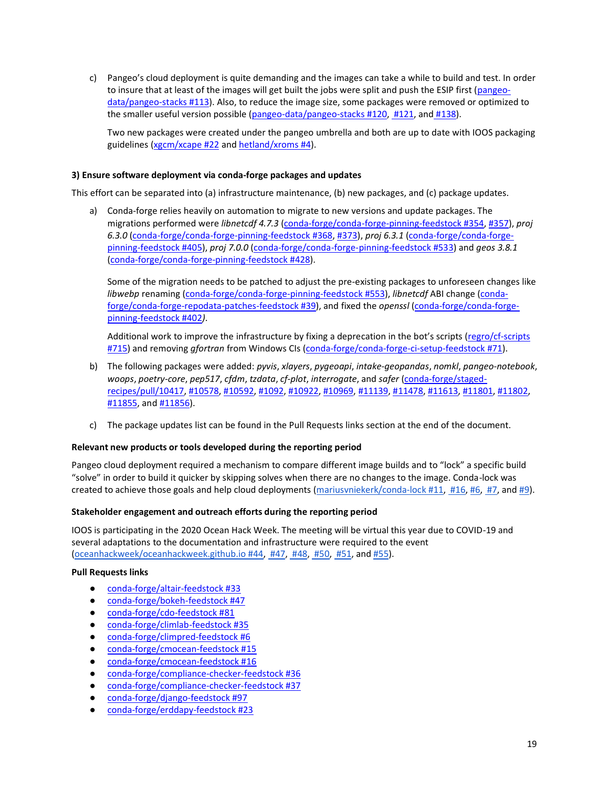c) Pangeo's cloud deployment is quite demanding and the images can take a while to build and test. In order to insure that at least of the images will get built the jobs were split and push the ESIP first [\(pangeo](https://github.com/pangeo-data/pangeo-stacks/pull/113)[data/pangeo-stacks #113\)](https://github.com/pangeo-data/pangeo-stacks/pull/113). Also, to reduce the image size, some packages were removed or optimized to the smaller useful version possible [\(pangeo-data/pangeo-stacks #120,](https://github.com/pangeo-data/pangeo-stacks/pull/120) [#121,](https://github.com/pangeo-data/pangeo-stacks/pull/121) and [#138\)](https://github.com/pangeo-data/pangeo-stacks/pull/138).

Two new packages were created under the pangeo umbrella and both are up to date with IOOS packaging guidelines [\(xgcm/xcape #22](https://github.com/xgcm/xcape/pull/22) an[d hetland/xroms #4\)](https://github.com/hetland/xroms/pull/4).

#### **3) Ensure software deployment via conda-forge packages and updates**

This effort can be separated into (a) infrastructure maintenance, (b) new packages, and (c) package updates.

a) Conda-forge relies heavily on automation to migrate to new versions and update packages. The migrations performed were *libnetcdf 4.7.3* [\(conda-forge/conda-forge-pinning-feedstock #354,](https://github.com/conda-forge/conda-forge-pinning-feedstock/pull/354) [#357\)](https://github.com/conda-forge/conda-forge-pinning-feedstock/pull/357), *proj 6.3.0* [\(conda-forge/conda-forge-pinning-feedstock #368,](https://github.com/conda-forge/conda-forge-pinning-feedstock/pull/368) [#373\)](https://github.com/conda-forge/conda-forge-pinning-feedstock/pull/373), *proj 6.3.1* [\(conda-forge/conda-forge](https://github.com/conda-forge/conda-forge-pinning-feedstock/pull/405)[pinning-feedstock #405\)](https://github.com/conda-forge/conda-forge-pinning-feedstock/pull/405), *proj 7.0.0* [\(conda-forge/conda-forge-pinning-feedstock #533\)](https://github.com/conda-forge/conda-forge-pinning-feedstock/pull/533) and *geos 3.8.1* [\(conda-forge/conda-forge-pinning-feedstock #428\)](https://github.com/conda-forge/conda-forge-pinning-feedstock/pull/428).

Some of the migration needs to be patched to adjust the pre-existing packages to unforeseen changes like *libwebp* renaming [\(conda-forge/conda-forge-pinning-feedstock #553\)](https://github.com/conda-forge/conda-forge-pinning-feedstock/pull/553), *libnetcdf* ABI change [\(conda](https://github.com/conda-forge/conda-forge-repodata-patches-feedstock/pull/39)[forge/conda-forge-repodata-patches-feedstock #39\)](https://github.com/conda-forge/conda-forge-repodata-patches-feedstock/pull/39), and fixed the *openssl* [\(conda-forge/conda-forge](https://github.com/conda-forge/conda-forge-pinning-feedstock/pull/402)[pinning-feedstock #402](https://github.com/conda-forge/conda-forge-pinning-feedstock/pull/402)*)*.

Additional work to improve the infrastructure by fixing a deprecation in the bot's scripts ([regro/cf-scripts](https://github.com/regro/cf-scripts/pull/715)  [#715\)](https://github.com/regro/cf-scripts/pull/715) and removing *gfortran* from Windows CIs [\(conda-forge/conda-forge-ci-setup-feedstock #71\)](https://github.com/conda-forge/conda-forge-ci-setup-feedstock/pull/71).

- b) The following packages were added: *pyvis*, *xlayers*, *pygeoapi*, *intake-geopandas*, *nomkl*, *pangeo-notebook*, *woops*, *poetry-core*, *pep517*, *cfdm*, *tzdata*, *cf-plot*, *interrogate*, and *safer* [\(conda-forge/staged](https://github.com/conda-forge/staged-recipes/pull/10417)[recipes/pull/10417,](https://github.com/conda-forge/staged-recipes/pull/10417) [#10578,](https://github.com/conda-forge/staged-recipes/pull/10578) [#10592,](https://github.com/conda-forge/staged-recipes/pull/10592) [#1092,](https://github.com/conda-forge/staged-recipes/pull/10921) [#10922,](https://github.com/conda-forge/staged-recipes/pull/10922) [#10969,](https://github.com/conda-forge/staged-recipes/pull/10969) [#11139,](https://github.com/conda-forge/staged-recipes/pull/11139) [#11478,](https://github.com/conda-forge/staged-recipes/pull/11478) [#11613,](https://github.com/conda-forge/staged-recipes/pull/11613) [#11801,](https://github.com/conda-forge/staged-recipes/pull/11801) [#11802,](https://github.com/conda-forge/staged-recipes/pull/11802) [#11855,](https://github.com/conda-forge/staged-recipes/pull/11855) an[d #11856\)](https://github.com/conda-forge/staged-recipes/pull/11856).
- c) The package updates list can be found in the Pull Requests links section at the end of the document.

#### **Relevant new products or tools developed during the reporting period**

Pangeo cloud deployment required a mechanism to compare different image builds and to "lock" a specific build "solve" in order to build it quicker by skipping solves when there are no changes to the image. Conda-lock was created to achieve those goals and help cloud deployments [\(mariusvniekerk/conda-lock #11,](https://github.com/mariusvniekerk/conda-lock/pull/11) [#16,](https://github.com/mariusvniekerk/conda-lock/pull/16) [#6,](https://github.com/mariusvniekerk/conda-lock/pull/6) [#7,](https://github.com/mariusvniekerk/conda-lock/pull/7) and [#9\)](https://github.com/mariusvniekerk/conda-lock/pull/9).

#### **Stakeholder engagement and outreach efforts during the reporting period**

IOOS is participating in the 2020 Ocean Hack Week. The meeting will be virtual this year due to COVID-19 and several adaptations to the documentation and infrastructure were required to the event [\(oceanhackweek/oceanhackweek.github.io #44,](https://github.com/oceanhackweek/oceanhackweek.github.io/pull/44) [#47,](https://github.com/oceanhackweek/oceanhackweek.github.io/pull/47) [#48,](https://github.com/oceanhackweek/oceanhackweek.github.io/pull/48) [#50,](https://github.com/oceanhackweek/oceanhackweek.github.io/pull/50) [#51,](https://github.com/oceanhackweek/oceanhackweek.github.io/pull/51) and [#55\)](https://github.com/oceanhackweek/oceanhackweek.github.io/pull/55).

#### **Pull Requests links**

- [conda-forge/altair-feedstock #33](https://github.com/conda-forge/altair-feedstock/pull/33)
- [conda-forge/bokeh-feedstock #47](https://github.com/conda-forge/bokeh-feedstock/pull/47)
- [conda-forge/cdo-feedstock #81](https://github.com/conda-forge/cdo-feedstock/pull/81)
- [conda-forge/climlab-feedstock #35](https://github.com/conda-forge/climlab-feedstock/pull/35)
- [conda-forge/climpred-feedstock #6](https://github.com/conda-forge/climpred-feedstock/pull/6)
- [conda-forge/cmocean-feedstock #15](https://github.com/conda-forge/cmocean-feedstock/pull/15)
- [conda-forge/cmocean-feedstock #16](https://github.com/conda-forge/cmocean-feedstock/pull/16)
- [conda-forge/compliance-checker-feedstock #36](https://github.com/conda-forge/compliance-checker-feedstock/pull/36)
- [conda-forge/compliance-checker-feedstock #37](https://github.com/conda-forge/compliance-checker-feedstock/pull/37)
- [conda-forge/django-feedstock #97](https://github.com/conda-forge/django-feedstock/pull/97)
- [conda-forge/erddapy-feedstock #23](https://github.com/conda-forge/erddapy-feedstock/pull/23)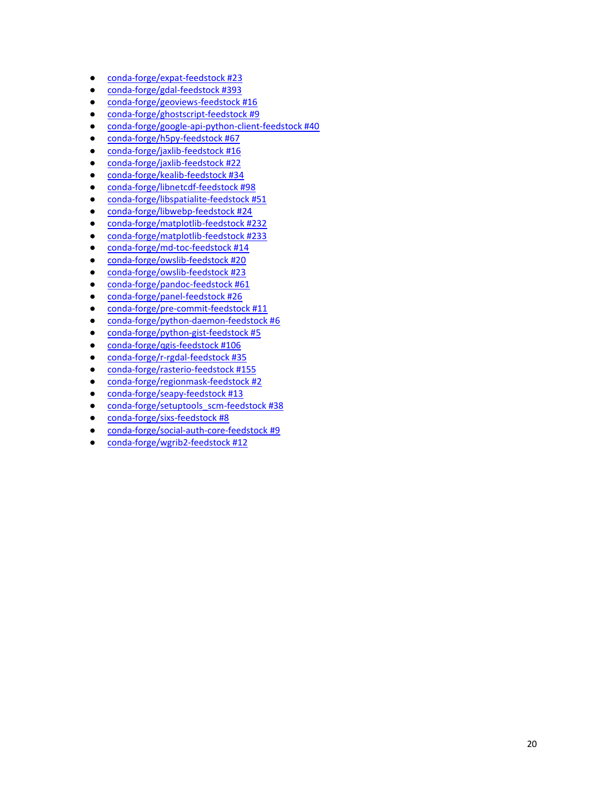- [conda-forge/expat-feedstock #23](https://github.com/conda-forge/expat-feedstock/pull/23)
- [conda-forge/gdal-feedstock #393](https://github.com/conda-forge/gdal-feedstock/pull/393)
- [conda-forge/geoviews-feedstock #16](https://github.com/conda-forge/geoviews-feedstock/pull/16)
- [conda-forge/ghostscript-feedstock #9](https://github.com/conda-forge/ghostscript-feedstock/pull/9)
- [conda-forge/google-api-python-client-feedstock #40](https://github.com/conda-forge/google-api-python-client-feedstock/pull/40)
- [conda-forge/h5py-feedstock #67](https://github.com/conda-forge/h5py-feedstock/pull/67)
- [conda-forge/jaxlib-feedstock #16](https://github.com/conda-forge/jaxlib-feedstock/pull/16)
- [conda-forge/jaxlib-feedstock #22](https://github.com/conda-forge/jaxlib-feedstock/pull/22)
- [conda-forge/kealib-feedstock #34](https://github.com/conda-forge/kealib-feedstock/pull/34)
- [conda-forge/libnetcdf-feedstock #98](https://github.com/conda-forge/libnetcdf-feedstock/pull/98)
- [conda-forge/libspatialite-feedstock #51](https://github.com/conda-forge/libspatialite-feedstock/pull/51)
- [conda-forge/libwebp-feedstock #24](https://github.com/conda-forge/libwebp-feedstock/pull/24)
- [conda-forge/matplotlib-feedstock #232](https://github.com/conda-forge/matplotlib-feedstock/pull/232)
- [conda-forge/matplotlib-feedstock #233](https://github.com/conda-forge/matplotlib-feedstock/pull/233)
- [conda-forge/md-toc-feedstock #14](https://github.com/conda-forge/md-toc-feedstock/pull/14)
- [conda-forge/owslib-feedstock #20](https://github.com/conda-forge/owslib-feedstock/pull/20)
- [conda-forge/owslib-feedstock #23](https://github.com/conda-forge/owslib-feedstock/pull/23)
- [conda-forge/pandoc-feedstock #61](https://github.com/conda-forge/pandoc-feedstock/pull/61)
- [conda-forge/panel-feedstock #26](https://github.com/conda-forge/panel-feedstock/pull/26)
- [conda-forge/pre-commit-feedstock #11](https://github.com/conda-forge/pre-commit-feedstock/pull/11)
- [conda-forge/python-daemon-feedstock](https://github.com/conda-forge/python-daemon-feedstock/pull/6) #6
- [conda-forge/python-gist-feedstock #5](https://github.com/conda-forge/python-gist-feedstock/pull/5)
- [conda-forge/qgis-feedstock #106](https://github.com/conda-forge/qgis-feedstock/pull/106)
- [conda-forge/r-rgdal-feedstock #35](https://github.com/conda-forge/r-rgdal-feedstock/pull/35)
- [conda-forge/rasterio-feedstock #155](https://github.com/conda-forge/rasterio-feedstock/pull/155)
- [conda-forge/regionmask-feedstock #2](https://github.com/conda-forge/regionmask-feedstock/pull/2)
- [conda-forge/seapy-feedstock #13](https://github.com/conda-forge/seapy-feedstock/pull/13)
- [conda-forge/setuptools\\_scm-feedstock #38](https://github.com/conda-forge/setuptools_scm-feedstock/pull/38)
- [conda-forge/sixs-feedstock #8](https://github.com/conda-forge/sixs-feedstock/pull/8)
- [conda-forge/social-auth-core-feedstock #9](https://github.com/conda-forge/social-auth-core-feedstock/pull/9)
- [conda-forge/wgrib2-feedstock #12](https://github.com/conda-forge/wgrib2-feedstock/pull/12)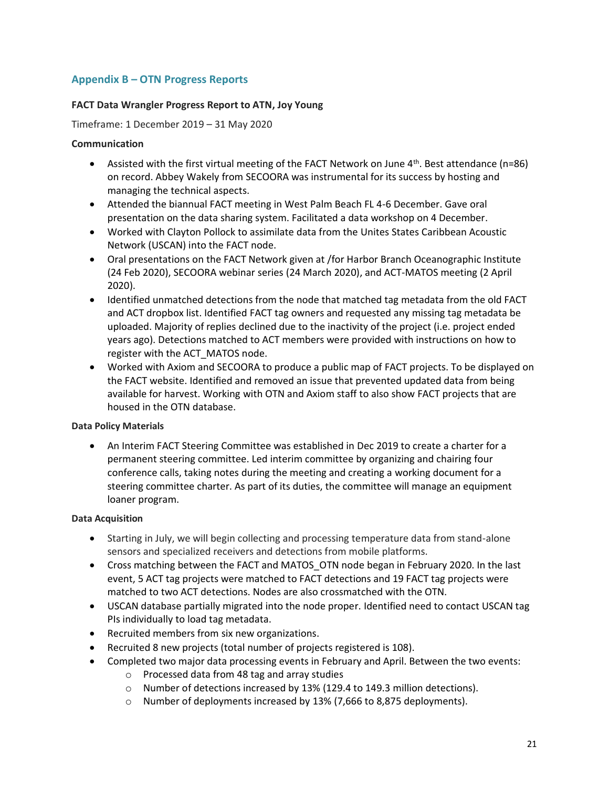## **Appendix B – OTN Progress Reports**

## **FACT Data Wrangler Progress Report to ATN, Joy Young**

Timeframe: 1 December 2019 – 31 May 2020

## **Communication**

- Assisted with the first virtual meeting of the FACT Network on June  $4<sup>th</sup>$ . Best attendance (n=86) on record. Abbey Wakely from SECOORA was instrumental for its success by hosting and managing the technical aspects.
- Attended the biannual FACT meeting in West Palm Beach FL 4-6 December. Gave oral presentation on the data sharing system. Facilitated a data workshop on 4 December.
- Worked with Clayton Pollock to assimilate data from the Unites States Caribbean Acoustic Network (USCAN) into the FACT node.
- Oral presentations on the FACT Network given at /for Harbor Branch Oceanographic Institute (24 Feb 2020), SECOORA webinar series (24 March 2020), and ACT-MATOS meeting (2 April 2020).
- Identified unmatched detections from the node that matched tag metadata from the old FACT and ACT dropbox list. Identified FACT tag owners and requested any missing tag metadata be uploaded. Majority of replies declined due to the inactivity of the project (i.e. project ended years ago). Detections matched to ACT members were provided with instructions on how to register with the ACT\_MATOS node.
- Worked with Axiom and SECOORA to produce a public map of FACT projects. To be displayed on the FACT website. Identified and removed an issue that prevented updated data from being available for harvest. Working with OTN and Axiom staff to also show FACT projects that are housed in the OTN database.

### **Data Policy Materials**

• An Interim FACT Steering Committee was established in Dec 2019 to create a charter for a permanent steering committee. Led interim committee by organizing and chairing four conference calls, taking notes during the meeting and creating a working document for a steering committee charter. As part of its duties, the committee will manage an equipment loaner program.

## **Data Acquisition**

- Starting in July, we will begin collecting and processing temperature data from stand-alone sensors and specialized receivers and detections from mobile platforms.
- Cross matching between the FACT and MATOS\_OTN node began in February 2020. In the last event, 5 ACT tag projects were matched to FACT detections and 19 FACT tag projects were matched to two ACT detections. Nodes are also crossmatched with the OTN.
- USCAN database partially migrated into the node proper. Identified need to contact USCAN tag PIs individually to load tag metadata.
- Recruited members from six new organizations.
- Recruited 8 new projects (total number of projects registered is 108).
- Completed two major data processing events in February and April. Between the two events:
	- o Processed data from 48 tag and array studies
	- o Number of detections increased by 13% (129.4 to 149.3 million detections).
	- o Number of deployments increased by 13% (7,666 to 8,875 deployments).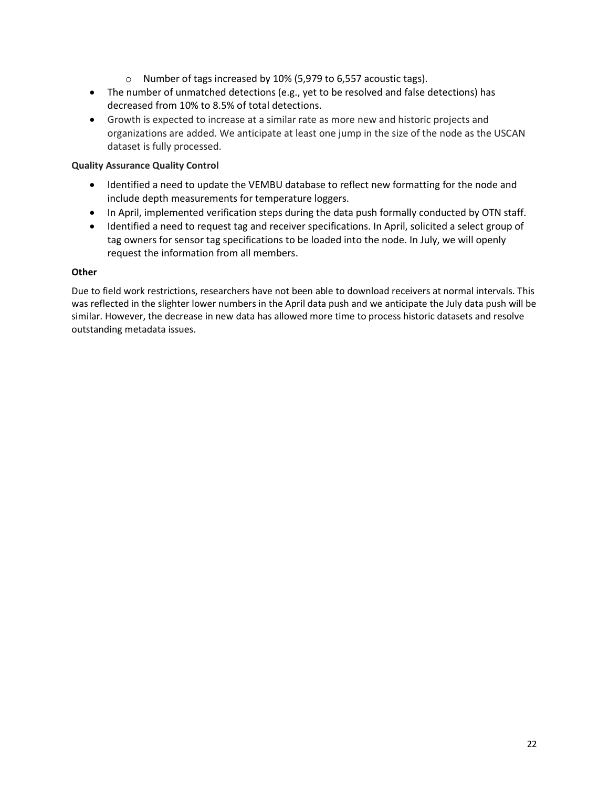- o Number of tags increased by 10% (5,979 to 6,557 acoustic tags).
- The number of unmatched detections (e.g., yet to be resolved and false detections) has decreased from 10% to 8.5% of total detections.
- Growth is expected to increase at a similar rate as more new and historic projects and organizations are added. We anticipate at least one jump in the size of the node as the USCAN dataset is fully processed.

### **Quality Assurance Quality Control**

- Identified a need to update the VEMBU database to reflect new formatting for the node and include depth measurements for temperature loggers.
- In April, implemented verification steps during the data push formally conducted by OTN staff.
- Identified a need to request tag and receiver specifications. In April, solicited a select group of tag owners for sensor tag specifications to be loaded into the node. In July, we will openly request the information from all members.

#### **Other**

Due to field work restrictions, researchers have not been able to download receivers at normal intervals. This was reflected in the slighter lower numbers in the April data push and we anticipate the July data push will be similar. However, the decrease in new data has allowed more time to process historic datasets and resolve outstanding metadata issues.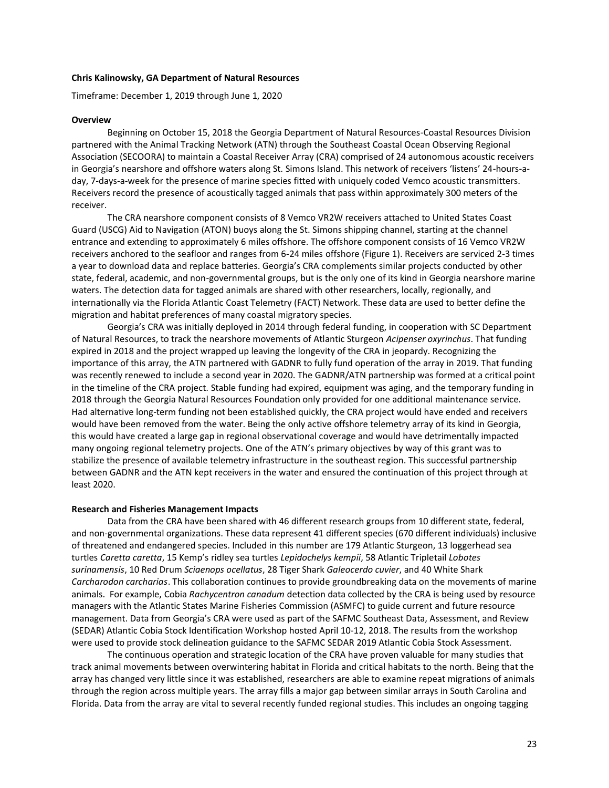#### **Chris Kalinowsky, GA Department of Natural Resources**

Timeframe: December 1, 2019 through June 1, 2020

#### **Overview**

Beginning on October 15, 2018 the Georgia Department of Natural Resources-Coastal Resources Division partnered with the Animal Tracking Network (ATN) through the Southeast Coastal Ocean Observing Regional Association (SECOORA) to maintain a Coastal Receiver Array (CRA) comprised of 24 autonomous acoustic receivers in Georgia's nearshore and offshore waters along St. Simons Island. This network of receivers 'listens' 24-hours-aday, 7-days-a-week for the presence of marine species fitted with uniquely coded Vemco acoustic transmitters. Receivers record the presence of acoustically tagged animals that pass within approximately 300 meters of the receiver.

The CRA nearshore component consists of 8 Vemco VR2W receivers attached to United States Coast Guard (USCG) Aid to Navigation (ATON) buoys along the St. Simons shipping channel, starting at the channel entrance and extending to approximately 6 miles offshore. The offshore component consists of 16 Vemco VR2W receivers anchored to the seafloor and ranges from 6-24 miles offshore (Figure 1). Receivers are serviced 2-3 times a year to download data and replace batteries. Georgia's CRA complements similar projects conducted by other state, federal, academic, and non-governmental groups, but is the only one of its kind in Georgia nearshore marine waters. The detection data for tagged animals are shared with other researchers, locally, regionally, and internationally via the Florida Atlantic Coast Telemetry (FACT) Network. These data are used to better define the migration and habitat preferences of many coastal migratory species.

Georgia's CRA was initially deployed in 2014 through federal funding, in cooperation with SC Department of Natural Resources, to track the nearshore movements of Atlantic Sturgeon *Acipenser oxyrinchus*. That funding expired in 2018 and the project wrapped up leaving the longevity of the CRA in jeopardy. Recognizing the importance of this array, the ATN partnered with GADNR to fully fund operation of the array in 2019. That funding was recently renewed to include a second year in 2020. The GADNR/ATN partnership was formed at a critical point in the timeline of the CRA project. Stable funding had expired, equipment was aging, and the temporary funding in 2018 through the Georgia Natural Resources Foundation only provided for one additional maintenance service. Had alternative long-term funding not been established quickly, the CRA project would have ended and receivers would have been removed from the water. Being the only active offshore telemetry array of its kind in Georgia, this would have created a large gap in regional observational coverage and would have detrimentally impacted many ongoing regional telemetry projects. One of the ATN's primary objectives by way of this grant was to stabilize the presence of available telemetry infrastructure in the southeast region. This successful partnership between GADNR and the ATN kept receivers in the water and ensured the continuation of this project through at least 2020.

#### **Research and Fisheries Management Impacts**

Data from the CRA have been shared with 46 different research groups from 10 different state, federal, and non-governmental organizations. These data represent 41 different species (670 different individuals) inclusive of threatened and endangered species. Included in this number are 179 Atlantic Sturgeon, 13 loggerhead sea turtles *Caretta caretta*, 15 Kemp's ridley sea turtles *Lepidochelys kempii*, 58 Atlantic Tripletail *Lobotes surinamensis*, 10 Red Drum *Sciaenops ocellatus*, 28 Tiger Shark *Galeocerdo cuvier*, and 40 White Shark *Carcharodon carcharias*. This collaboration continues to provide groundbreaking data on the movements of marine animals. For example, Cobia *Rachycentron canadum* detection data collected by the CRA is being used by resource managers with the Atlantic States Marine Fisheries Commission (ASMFC) to guide current and future resource management. Data from Georgia's CRA were used as part of the SAFMC Southeast Data, Assessment, and Review (SEDAR) Atlantic Cobia Stock Identification Workshop hosted April 10-12, 2018. The results from the workshop were used to provide stock delineation guidance to the SAFMC SEDAR 2019 Atlantic Cobia Stock Assessment.

The continuous operation and strategic location of the CRA have proven valuable for many studies that track animal movements between overwintering habitat in Florida and critical habitats to the north. Being that the array has changed very little since it was established, researchers are able to examine repeat migrations of animals through the region across multiple years. The array fills a major gap between similar arrays in South Carolina and Florida. Data from the array are vital to several recently funded regional studies. This includes an ongoing tagging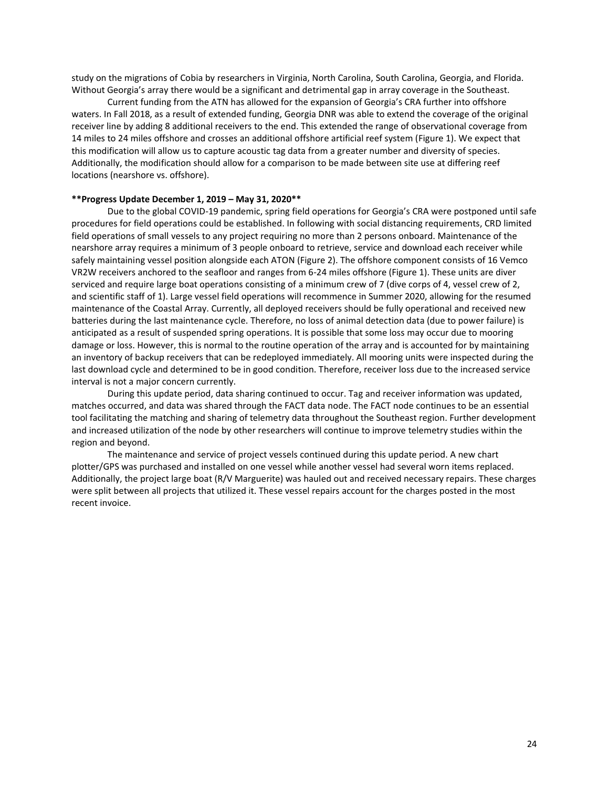study on the migrations of Cobia by researchers in Virginia, North Carolina, South Carolina, Georgia, and Florida. Without Georgia's array there would be a significant and detrimental gap in array coverage in the Southeast.

Current funding from the ATN has allowed for the expansion of Georgia's CRA further into offshore waters. In Fall 2018, as a result of extended funding, Georgia DNR was able to extend the coverage of the original receiver line by adding 8 additional receivers to the end. This extended the range of observational coverage from 14 miles to 24 miles offshore and crosses an additional offshore artificial reef system (Figure 1). We expect that this modification will allow us to capture acoustic tag data from a greater number and diversity of species. Additionally, the modification should allow for a comparison to be made between site use at differing reef locations (nearshore vs. offshore).

#### **\*\*Progress Update December 1, 2019 – May 31, 2020\*\***

Due to the global COVID-19 pandemic, spring field operations for Georgia's CRA were postponed until safe procedures for field operations could be established. In following with social distancing requirements, CRD limited field operations of small vessels to any project requiring no more than 2 persons onboard. Maintenance of the nearshore array requires a minimum of 3 people onboard to retrieve, service and download each receiver while safely maintaining vessel position alongside each ATON (Figure 2). The offshore component consists of 16 Vemco VR2W receivers anchored to the seafloor and ranges from 6-24 miles offshore (Figure 1). These units are diver serviced and require large boat operations consisting of a minimum crew of 7 (dive corps of 4, vessel crew of 2, and scientific staff of 1). Large vessel field operations will recommence in Summer 2020, allowing for the resumed maintenance of the Coastal Array. Currently, all deployed receivers should be fully operational and received new batteries during the last maintenance cycle. Therefore, no loss of animal detection data (due to power failure) is anticipated as a result of suspended spring operations. It is possible that some loss may occur due to mooring damage or loss. However, this is normal to the routine operation of the array and is accounted for by maintaining an inventory of backup receivers that can be redeployed immediately. All mooring units were inspected during the last download cycle and determined to be in good condition. Therefore, receiver loss due to the increased service interval is not a major concern currently.

During this update period, data sharing continued to occur. Tag and receiver information was updated, matches occurred, and data was shared through the FACT data node. The FACT node continues to be an essential tool facilitating the matching and sharing of telemetry data throughout the Southeast region. Further development and increased utilization of the node by other researchers will continue to improve telemetry studies within the region and beyond.

The maintenance and service of project vessels continued during this update period. A new chart plotter/GPS was purchased and installed on one vessel while another vessel had several worn items replaced. Additionally, the project large boat (R/V Marguerite) was hauled out and received necessary repairs. These charges were split between all projects that utilized it. These vessel repairs account for the charges posted in the most recent invoice.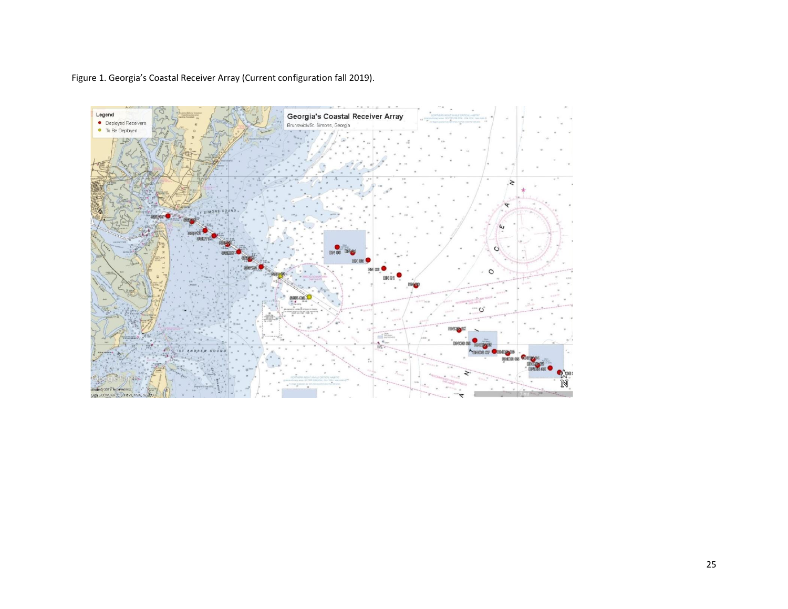Figure 1. Georgia's Coastal Receiver Array (Current configuration fall 2019).